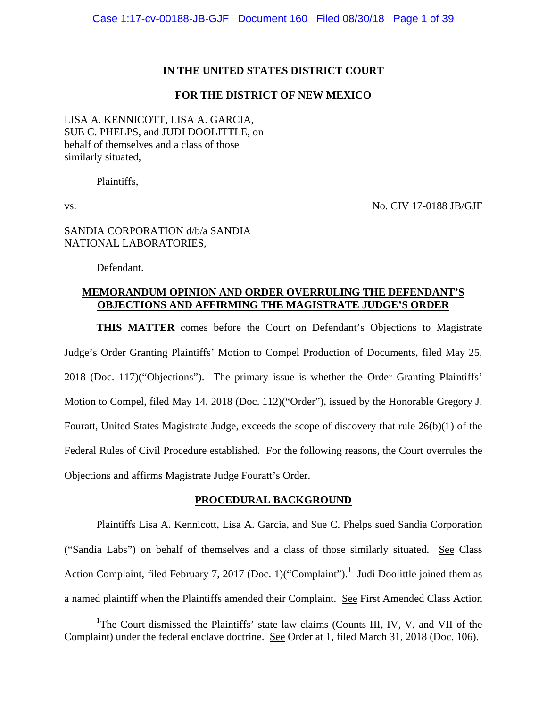### **IN THE UNITED STATES DISTRICT COURT**

### **FOR THE DISTRICT OF NEW MEXICO**

LISA A. KENNICOTT, LISA A. GARCIA, SUE C. PHELPS, and JUDI DOOLITTLE, on behalf of themselves and a class of those similarly situated,

Plaintiffs,

vs. No. CIV 17-0188 JB/GJF

## SANDIA CORPORATION d/b/a SANDIA NATIONAL LABORATORIES,

Defendant.

## **MEMORANDUM OPINION AND ORDER OVERRULING THE DEFENDANT'S OBJECTIONS AND AFFIRMING THE MAGISTRATE JUDGE'S ORDER**

**THIS MATTER** comes before the Court on Defendant's Objections to Magistrate Judge's Order Granting Plaintiffs' Motion to Compel Production of Documents, filed May 25, 2018 (Doc. 117)("Objections"). The primary issue is whether the Order Granting Plaintiffs' Motion to Compel, filed May 14, 2018 (Doc. 112)("Order"), issued by the Honorable Gregory J. Fouratt, United States Magistrate Judge, exceeds the scope of discovery that rule 26(b)(1) of the Federal Rules of Civil Procedure established. For the following reasons, the Court overrules the Objections and affirms Magistrate Judge Fouratt's Order.

#### **PROCEDURAL BACKGROUND**

Plaintiffs Lisa A. Kennicott, Lisa A. Garcia, and Sue C. Phelps sued Sandia Corporation ("Sandia Labs") on behalf of themselves and a class of those similarly situated. See Class Action Complaint, filed February 7, 2017 (Doc. 1)("Complaint").<sup>1</sup> Judi Doolittle joined them as a named plaintiff when the Plaintiffs amended their Complaint. See First Amended Class Action

<sup>&</sup>lt;u>1</u> <sup>1</sup>The Court dismissed the Plaintiffs' state law claims (Counts III, IV, V, and VII of the Complaint) under the federal enclave doctrine. See Order at 1, filed March 31, 2018 (Doc. 106).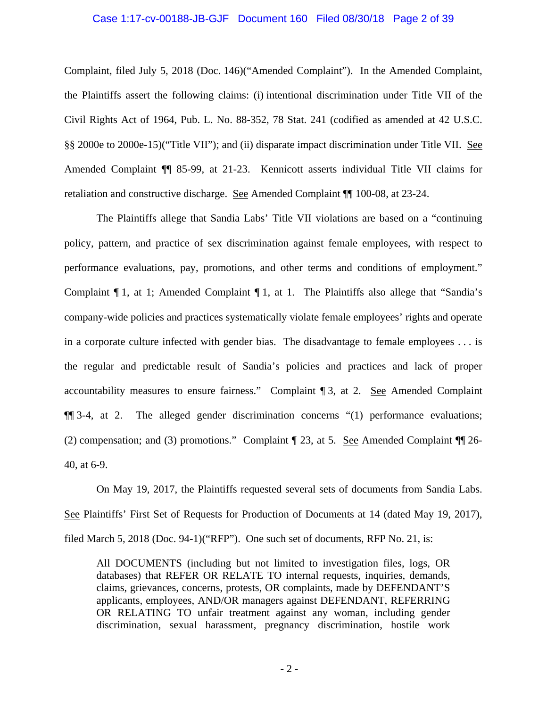#### Case 1:17-cv-00188-JB-GJF Document 160 Filed 08/30/18 Page 2 of 39

Complaint, filed July 5, 2018 (Doc. 146)("Amended Complaint"). In the Amended Complaint, the Plaintiffs assert the following claims: (i) intentional discrimination under Title VII of the Civil Rights Act of 1964, Pub. L. No. 88-352, 78 Stat. 241 (codified as amended at 42 U.S.C. §§ 2000e to 2000e-15)("Title VII"); and (ii) disparate impact discrimination under Title VII. See Amended Complaint ¶¶ 85-99, at 21-23. Kennicott asserts individual Title VII claims for retaliation and constructive discharge. See Amended Complaint ¶¶ 100-08, at 23-24.

The Plaintiffs allege that Sandia Labs' Title VII violations are based on a "continuing policy, pattern, and practice of sex discrimination against female employees, with respect to performance evaluations, pay, promotions, and other terms and conditions of employment." Complaint ¶ 1, at 1; Amended Complaint ¶ 1, at 1. The Plaintiffs also allege that "Sandia's company-wide policies and practices systematically violate female employees' rights and operate in a corporate culture infected with gender bias. The disadvantage to female employees . . . is the regular and predictable result of Sandia's policies and practices and lack of proper accountability measures to ensure fairness." Complaint ¶ 3, at 2. See Amended Complaint ¶¶ 3-4, at 2. The alleged gender discrimination concerns "(1) performance evaluations; (2) compensation; and (3) promotions." Complaint ¶ 23, at 5. See Amended Complaint ¶¶ 26- 40, at 6-9.

On May 19, 2017, the Plaintiffs requested several sets of documents from Sandia Labs. See Plaintiffs' First Set of Requests for Production of Documents at 14 (dated May 19, 2017), filed March 5, 2018 (Doc. 94-1)("RFP"). One such set of documents, RFP No. 21, is:

All DOCUMENTS (including but not limited to investigation files, logs, OR databases) that REFER OR RELATE TO internal requests, inquiries, demands, claims, grievances, concerns, protests, OR complaints, made by DEFENDANT'S applicants, employees, AND/OR managers against DEFENDANT, REFERRING OR RELATING TO unfair treatment against any woman, including gender discrimination, sexual harassment, pregnancy discrimination, hostile work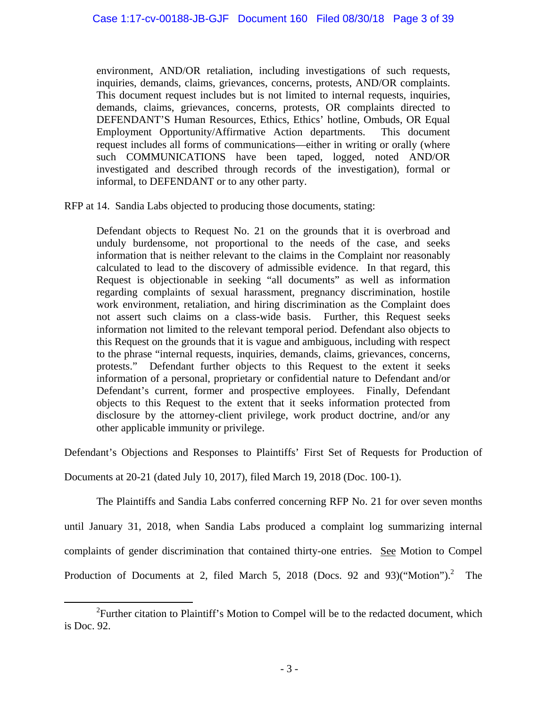environment, AND/OR retaliation, including investigations of such requests, inquiries, demands, claims, grievances, concerns, protests, AND/OR complaints. This document request includes but is not limited to internal requests, inquiries, demands, claims, grievances, concerns, protests, OR complaints directed to DEFENDANT'S Human Resources, Ethics, Ethics' hotline, Ombuds, OR Equal Employment Opportunity/Affirmative Action departments. This document request includes all forms of communications—either in writing or orally (where such COMMUNICATIONS have been taped, logged, noted AND/OR investigated and described through records of the investigation), formal or informal, to DEFENDANT or to any other party.

RFP at 14. Sandia Labs objected to producing those documents, stating:

Defendant objects to Request No. 21 on the grounds that it is overbroad and unduly burdensome, not proportional to the needs of the case, and seeks information that is neither relevant to the claims in the Complaint nor reasonably calculated to lead to the discovery of admissible evidence. In that regard, this Request is objectionable in seeking "all documents" as well as information regarding complaints of sexual harassment, pregnancy discrimination, hostile work environment, retaliation, and hiring discrimination as the Complaint does not assert such claims on a class-wide basis. Further, this Request seeks information not limited to the relevant temporal period. Defendant also objects to this Request on the grounds that it is vague and ambiguous, including with respect to the phrase "internal requests, inquiries, demands, claims, grievances, concerns, protests." Defendant further objects to this Request to the extent it seeks information of a personal, proprietary or confidential nature to Defendant and/or Defendant's current, former and prospective employees. Finally, Defendant objects to this Request to the extent that it seeks information protected from disclosure by the attorney-client privilege, work product doctrine, and/or any other applicable immunity or privilege.

Defendant's Objections and Responses to Plaintiffs' First Set of Requests for Production of

Documents at 20-21 (dated July 10, 2017), filed March 19, 2018 (Doc. 100-1).

The Plaintiffs and Sandia Labs conferred concerning RFP No. 21 for over seven months until January 31, 2018, when Sandia Labs produced a complaint log summarizing internal complaints of gender discrimination that contained thirty-one entries. See Motion to Compel Production of Documents at 2, filed March 5, 2018 (Docs. 92 and 93)("Motion").<sup>2</sup> The

 $\frac{1}{2}$  $\mathrm{F}^2$ Further citation to Plaintiff's Motion to Compel will be to the redacted document, which is Doc. 92.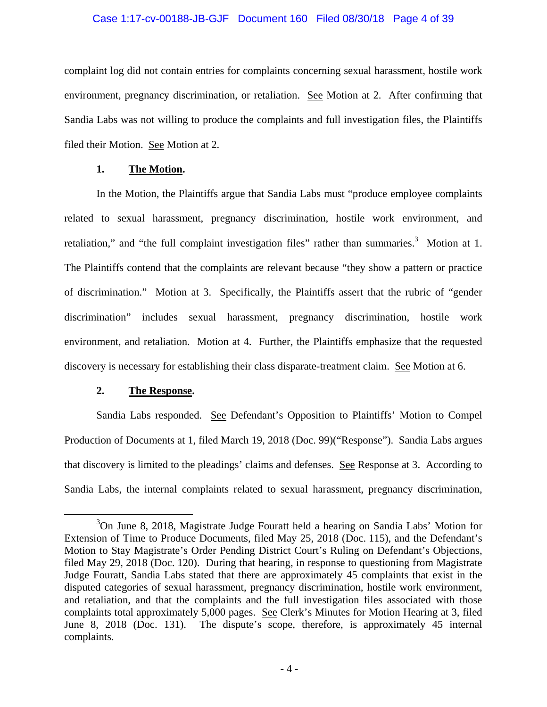#### Case 1:17-cv-00188-JB-GJF Document 160 Filed 08/30/18 Page 4 of 39

complaint log did not contain entries for complaints concerning sexual harassment, hostile work environment, pregnancy discrimination, or retaliation. See Motion at 2. After confirming that Sandia Labs was not willing to produce the complaints and full investigation files, the Plaintiffs filed their Motion. See Motion at 2.

## **1. The Motion.**

In the Motion, the Plaintiffs argue that Sandia Labs must "produce employee complaints related to sexual harassment, pregnancy discrimination, hostile work environment, and retaliation," and "the full complaint investigation files" rather than summaries.<sup>3</sup> Motion at 1. The Plaintiffs contend that the complaints are relevant because "they show a pattern or practice of discrimination." Motion at 3. Specifically, the Plaintiffs assert that the rubric of "gender discrimination" includes sexual harassment, pregnancy discrimination, hostile work environment, and retaliation. Motion at 4. Further, the Plaintiffs emphasize that the requested discovery is necessary for establishing their class disparate-treatment claim. See Motion at 6.

### **2. The Response.**

Sandia Labs responded. See Defendant's Opposition to Plaintiffs' Motion to Compel Production of Documents at 1, filed March 19, 2018 (Doc. 99)("Response"). Sandia Labs argues that discovery is limited to the pleadings' claims and defenses. See Response at 3. According to Sandia Labs, the internal complaints related to sexual harassment, pregnancy discrimination,

 $\frac{1}{3}$  $3$ On June 8, 2018, Magistrate Judge Fouratt held a hearing on Sandia Labs' Motion for Extension of Time to Produce Documents, filed May 25, 2018 (Doc. 115), and the Defendant's Motion to Stay Magistrate's Order Pending District Court's Ruling on Defendant's Objections, filed May 29, 2018 (Doc. 120). During that hearing, in response to questioning from Magistrate Judge Fouratt, Sandia Labs stated that there are approximately 45 complaints that exist in the disputed categories of sexual harassment, pregnancy discrimination, hostile work environment, and retaliation, and that the complaints and the full investigation files associated with those complaints total approximately 5,000 pages. See Clerk's Minutes for Motion Hearing at 3, filed June 8, 2018 (Doc. 131). The dispute's scope, therefore, is approximately 45 internal complaints.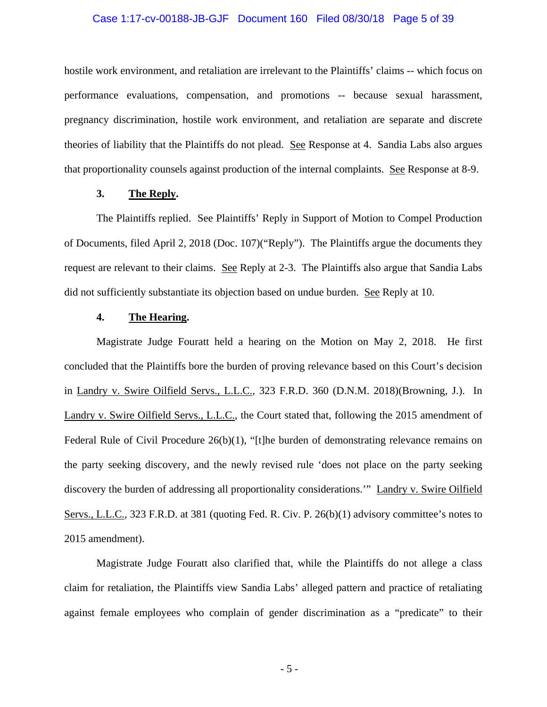#### Case 1:17-cv-00188-JB-GJF Document 160 Filed 08/30/18 Page 5 of 39

hostile work environment, and retaliation are irrelevant to the Plaintiffs' claims -- which focus on performance evaluations, compensation, and promotions -- because sexual harassment, pregnancy discrimination, hostile work environment, and retaliation are separate and discrete theories of liability that the Plaintiffs do not plead. See Response at 4. Sandia Labs also argues that proportionality counsels against production of the internal complaints. See Response at 8-9.

### **3. The Reply.**

The Plaintiffs replied. See Plaintiffs' Reply in Support of Motion to Compel Production of Documents, filed April 2, 2018 (Doc. 107)("Reply"). The Plaintiffs argue the documents they request are relevant to their claims. See Reply at 2-3. The Plaintiffs also argue that Sandia Labs did not sufficiently substantiate its objection based on undue burden. See Reply at 10.

## **4. The Hearing.**

Magistrate Judge Fouratt held a hearing on the Motion on May 2, 2018. He first concluded that the Plaintiffs bore the burden of proving relevance based on this Court's decision in Landry v. Swire Oilfield Servs., L.L.C., 323 F.R.D. 360 (D.N.M. 2018)(Browning, J.). In Landry v. Swire Oilfield Servs., L.L.C., the Court stated that, following the 2015 amendment of Federal Rule of Civil Procedure 26(b)(1), "[t]he burden of demonstrating relevance remains on the party seeking discovery, and the newly revised rule 'does not place on the party seeking discovery the burden of addressing all proportionality considerations.'" Landry v. Swire Oilfield Servs., L.L.C., 323 F.R.D. at 381 (quoting Fed. R. Civ. P. 26(b)(1) advisory committee's notes to 2015 amendment).

Magistrate Judge Fouratt also clarified that, while the Plaintiffs do not allege a class claim for retaliation, the Plaintiffs view Sandia Labs' alleged pattern and practice of retaliating against female employees who complain of gender discrimination as a "predicate" to their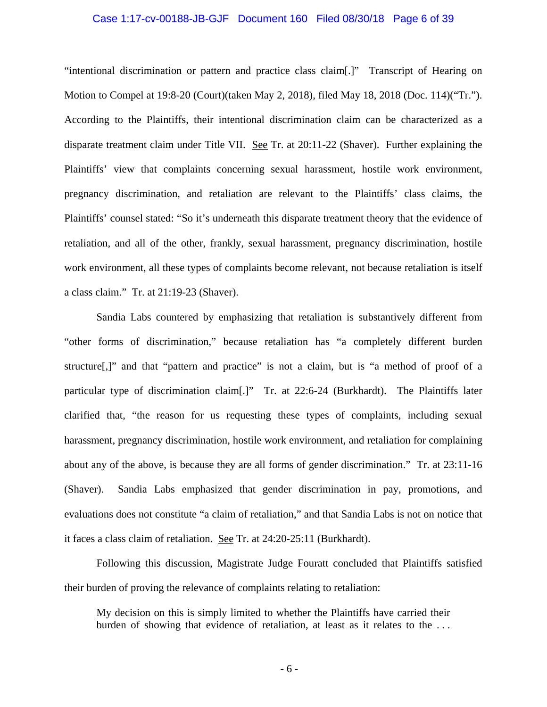#### Case 1:17-cv-00188-JB-GJF Document 160 Filed 08/30/18 Page 6 of 39

"intentional discrimination or pattern and practice class claim[.]" Transcript of Hearing on Motion to Compel at 19:8-20 (Court)(taken May 2, 2018), filed May 18, 2018 (Doc. 114)("Tr."). According to the Plaintiffs, their intentional discrimination claim can be characterized as a disparate treatment claim under Title VII. See Tr. at 20:11-22 (Shaver). Further explaining the Plaintiffs' view that complaints concerning sexual harassment, hostile work environment, pregnancy discrimination, and retaliation are relevant to the Plaintiffs' class claims, the Plaintiffs' counsel stated: "So it's underneath this disparate treatment theory that the evidence of retaliation, and all of the other, frankly, sexual harassment, pregnancy discrimination, hostile work environment, all these types of complaints become relevant, not because retaliation is itself a class claim." Tr. at 21:19-23 (Shaver).

Sandia Labs countered by emphasizing that retaliation is substantively different from "other forms of discrimination," because retaliation has "a completely different burden structure[,]" and that "pattern and practice" is not a claim, but is "a method of proof of a particular type of discrimination claim[.]" Tr. at 22:6-24 (Burkhardt). The Plaintiffs later clarified that, "the reason for us requesting these types of complaints, including sexual harassment, pregnancy discrimination, hostile work environment, and retaliation for complaining about any of the above, is because they are all forms of gender discrimination." Tr. at 23:11-16 (Shaver). Sandia Labs emphasized that gender discrimination in pay, promotions, and evaluations does not constitute "a claim of retaliation," and that Sandia Labs is not on notice that it faces a class claim of retaliation. See Tr. at 24:20-25:11 (Burkhardt).

Following this discussion, Magistrate Judge Fouratt concluded that Plaintiffs satisfied their burden of proving the relevance of complaints relating to retaliation:

My decision on this is simply limited to whether the Plaintiffs have carried their burden of showing that evidence of retaliation, at least as it relates to the . . .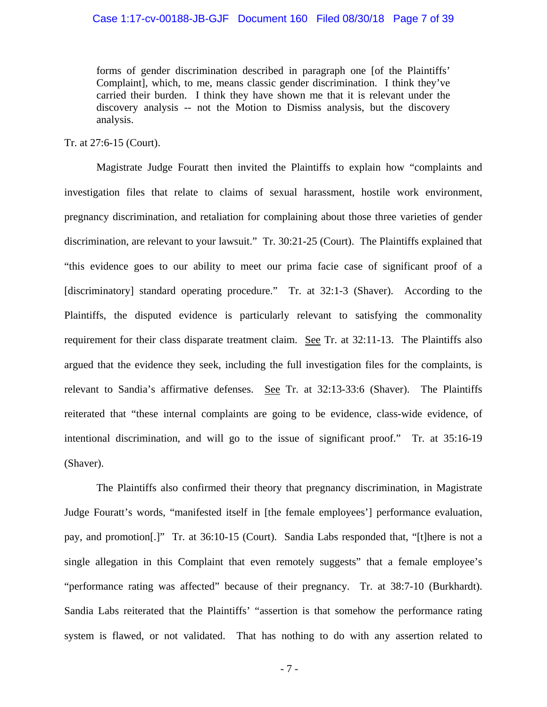### Case 1:17-cv-00188-JB-GJF Document 160 Filed 08/30/18 Page 7 of 39

forms of gender discrimination described in paragraph one [of the Plaintiffs' Complaint], which, to me, means classic gender discrimination. I think they've carried their burden. I think they have shown me that it is relevant under the discovery analysis -- not the Motion to Dismiss analysis, but the discovery analysis.

Tr. at 27:6-15 (Court).

Magistrate Judge Fouratt then invited the Plaintiffs to explain how "complaints and investigation files that relate to claims of sexual harassment, hostile work environment, pregnancy discrimination, and retaliation for complaining about those three varieties of gender discrimination, are relevant to your lawsuit." Tr. 30:21-25 (Court). The Plaintiffs explained that "this evidence goes to our ability to meet our prima facie case of significant proof of a [discriminatory] standard operating procedure." Tr. at 32:1-3 (Shaver). According to the Plaintiffs, the disputed evidence is particularly relevant to satisfying the commonality requirement for their class disparate treatment claim. See Tr. at 32:11-13. The Plaintiffs also argued that the evidence they seek, including the full investigation files for the complaints, is relevant to Sandia's affirmative defenses. See Tr. at 32:13-33:6 (Shaver). The Plaintiffs reiterated that "these internal complaints are going to be evidence, class-wide evidence, of intentional discrimination, and will go to the issue of significant proof." Tr. at 35:16-19 (Shaver).

The Plaintiffs also confirmed their theory that pregnancy discrimination, in Magistrate Judge Fouratt's words, "manifested itself in [the female employees'] performance evaluation, pay, and promotion[.]" Tr. at 36:10-15 (Court). Sandia Labs responded that, "[t]here is not a single allegation in this Complaint that even remotely suggests" that a female employee's "performance rating was affected" because of their pregnancy. Tr. at 38:7-10 (Burkhardt). Sandia Labs reiterated that the Plaintiffs' "assertion is that somehow the performance rating system is flawed, or not validated. That has nothing to do with any assertion related to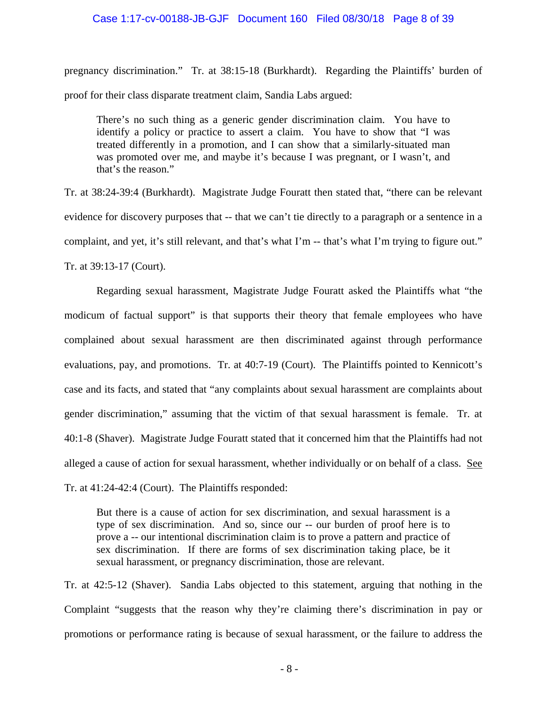## Case 1:17-cv-00188-JB-GJF Document 160 Filed 08/30/18 Page 8 of 39

pregnancy discrimination." Tr. at 38:15-18 (Burkhardt). Regarding the Plaintiffs' burden of proof for their class disparate treatment claim, Sandia Labs argued:

There's no such thing as a generic gender discrimination claim. You have to identify a policy or practice to assert a claim. You have to show that "I was treated differently in a promotion, and I can show that a similarly-situated man was promoted over me, and maybe it's because I was pregnant, or I wasn't, and that's the reason."

Tr. at 38:24-39:4 (Burkhardt). Magistrate Judge Fouratt then stated that, "there can be relevant evidence for discovery purposes that -- that we can't tie directly to a paragraph or a sentence in a complaint, and yet, it's still relevant, and that's what I'm -- that's what I'm trying to figure out." Tr. at 39:13-17 (Court).

Regarding sexual harassment, Magistrate Judge Fouratt asked the Plaintiffs what "the modicum of factual support" is that supports their theory that female employees who have complained about sexual harassment are then discriminated against through performance evaluations, pay, and promotions. Tr. at 40:7-19 (Court). The Plaintiffs pointed to Kennicott's case and its facts, and stated that "any complaints about sexual harassment are complaints about gender discrimination," assuming that the victim of that sexual harassment is female. Tr. at 40:1-8 (Shaver). Magistrate Judge Fouratt stated that it concerned him that the Plaintiffs had not alleged a cause of action for sexual harassment, whether individually or on behalf of a class. See Tr. at 41:24-42:4 (Court). The Plaintiffs responded:

But there is a cause of action for sex discrimination, and sexual harassment is a type of sex discrimination. And so, since our -- our burden of proof here is to prove a -- our intentional discrimination claim is to prove a pattern and practice of sex discrimination. If there are forms of sex discrimination taking place, be it sexual harassment, or pregnancy discrimination, those are relevant.

Tr. at 42:5-12 (Shaver). Sandia Labs objected to this statement, arguing that nothing in the Complaint "suggests that the reason why they're claiming there's discrimination in pay or promotions or performance rating is because of sexual harassment, or the failure to address the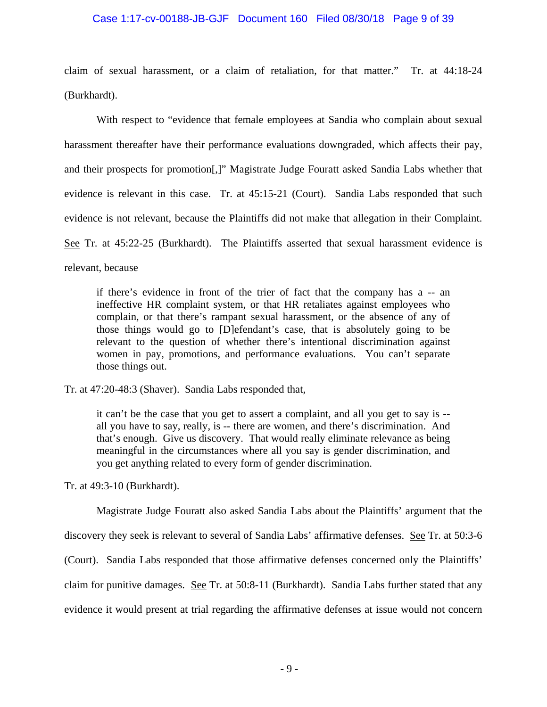## Case 1:17-cv-00188-JB-GJF Document 160 Filed 08/30/18 Page 9 of 39

claim of sexual harassment, or a claim of retaliation, for that matter." Tr. at 44:18-24 (Burkhardt).

With respect to "evidence that female employees at Sandia who complain about sexual harassment thereafter have their performance evaluations downgraded, which affects their pay, and their prospects for promotion[,]" Magistrate Judge Fouratt asked Sandia Labs whether that evidence is relevant in this case. Tr. at 45:15-21 (Court). Sandia Labs responded that such evidence is not relevant, because the Plaintiffs did not make that allegation in their Complaint. See Tr. at 45:22-25 (Burkhardt). The Plaintiffs asserted that sexual harassment evidence is relevant, because

if there's evidence in front of the trier of fact that the company has a -- an ineffective HR complaint system, or that HR retaliates against employees who complain, or that there's rampant sexual harassment, or the absence of any of those things would go to [D]efendant's case, that is absolutely going to be relevant to the question of whether there's intentional discrimination against women in pay, promotions, and performance evaluations. You can't separate those things out.

Tr. at 47:20-48:3 (Shaver). Sandia Labs responded that,

it can't be the case that you get to assert a complaint, and all you get to say is - all you have to say, really, is -- there are women, and there's discrimination. And that's enough. Give us discovery. That would really eliminate relevance as being meaningful in the circumstances where all you say is gender discrimination, and you get anything related to every form of gender discrimination.

Tr. at 49:3-10 (Burkhardt).

Magistrate Judge Fouratt also asked Sandia Labs about the Plaintiffs' argument that the discovery they seek is relevant to several of Sandia Labs' affirmative defenses. See Tr. at 50:3-6 (Court). Sandia Labs responded that those affirmative defenses concerned only the Plaintiffs' claim for punitive damages. See Tr. at 50:8-11 (Burkhardt). Sandia Labs further stated that any evidence it would present at trial regarding the affirmative defenses at issue would not concern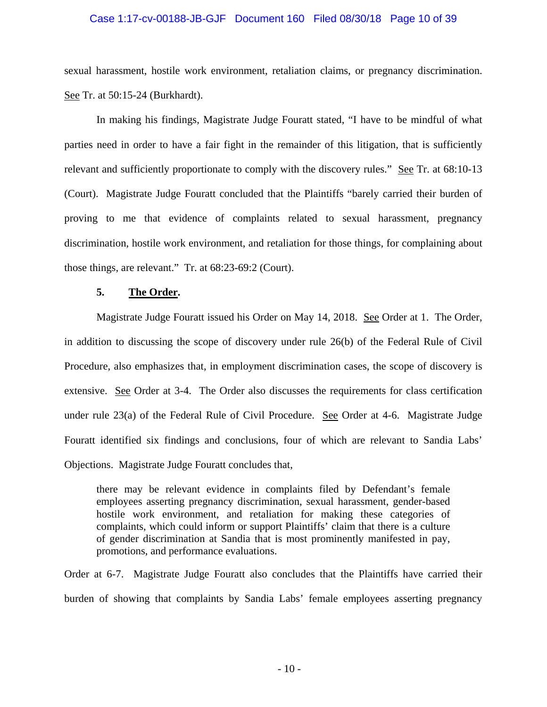#### Case 1:17-cv-00188-JB-GJF Document 160 Filed 08/30/18 Page 10 of 39

sexual harassment, hostile work environment, retaliation claims, or pregnancy discrimination. See Tr. at 50:15-24 (Burkhardt).

In making his findings, Magistrate Judge Fouratt stated, "I have to be mindful of what parties need in order to have a fair fight in the remainder of this litigation, that is sufficiently relevant and sufficiently proportionate to comply with the discovery rules." See Tr. at 68:10-13 (Court). Magistrate Judge Fouratt concluded that the Plaintiffs "barely carried their burden of proving to me that evidence of complaints related to sexual harassment, pregnancy discrimination, hostile work environment, and retaliation for those things, for complaining about those things, are relevant." Tr. at 68:23-69:2 (Court).

## **5. The Order.**

Magistrate Judge Fouratt issued his Order on May 14, 2018. See Order at 1. The Order, in addition to discussing the scope of discovery under rule 26(b) of the Federal Rule of Civil Procedure, also emphasizes that, in employment discrimination cases, the scope of discovery is extensive. See Order at 3-4. The Order also discusses the requirements for class certification under rule 23(a) of the Federal Rule of Civil Procedure. See Order at 4-6. Magistrate Judge Fouratt identified six findings and conclusions, four of which are relevant to Sandia Labs' Objections. Magistrate Judge Fouratt concludes that,

there may be relevant evidence in complaints filed by Defendant's female employees asserting pregnancy discrimination, sexual harassment, gender-based hostile work environment, and retaliation for making these categories of complaints, which could inform or support Plaintiffs' claim that there is a culture of gender discrimination at Sandia that is most prominently manifested in pay, promotions, and performance evaluations.

Order at 6-7. Magistrate Judge Fouratt also concludes that the Plaintiffs have carried their burden of showing that complaints by Sandia Labs' female employees asserting pregnancy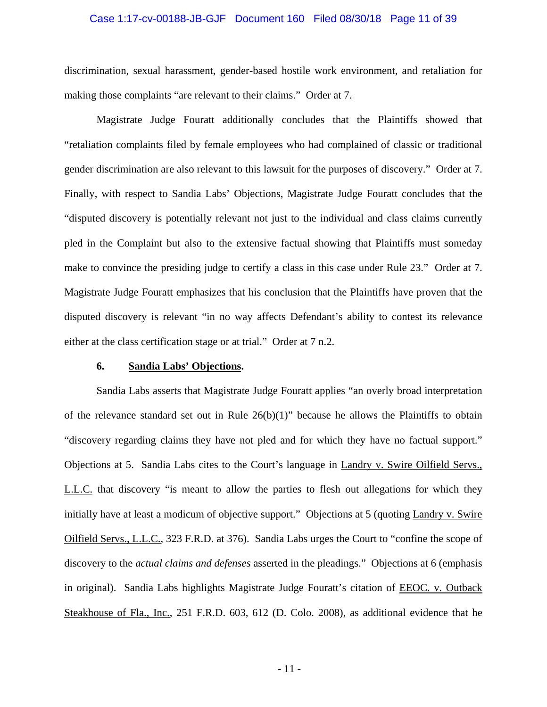#### Case 1:17-cv-00188-JB-GJF Document 160 Filed 08/30/18 Page 11 of 39

discrimination, sexual harassment, gender-based hostile work environment, and retaliation for making those complaints "are relevant to their claims." Order at 7.

Magistrate Judge Fouratt additionally concludes that the Plaintiffs showed that "retaliation complaints filed by female employees who had complained of classic or traditional gender discrimination are also relevant to this lawsuit for the purposes of discovery." Order at 7. Finally, with respect to Sandia Labs' Objections, Magistrate Judge Fouratt concludes that the "disputed discovery is potentially relevant not just to the individual and class claims currently pled in the Complaint but also to the extensive factual showing that Plaintiffs must someday make to convince the presiding judge to certify a class in this case under Rule 23." Order at 7. Magistrate Judge Fouratt emphasizes that his conclusion that the Plaintiffs have proven that the disputed discovery is relevant "in no way affects Defendant's ability to contest its relevance either at the class certification stage or at trial." Order at 7 n.2.

#### **6. Sandia Labs' Objections.**

 Sandia Labs asserts that Magistrate Judge Fouratt applies "an overly broad interpretation of the relevance standard set out in Rule  $26(b)(1)$ " because he allows the Plaintiffs to obtain "discovery regarding claims they have not pled and for which they have no factual support." Objections at 5. Sandia Labs cites to the Court's language in Landry v. Swire Oilfield Servs., L.L.C. that discovery "is meant to allow the parties to flesh out allegations for which they initially have at least a modicum of objective support." Objections at 5 (quoting Landry v. Swire Oilfield Servs., L.L.C., 323 F.R.D. at 376). Sandia Labs urges the Court to "confine the scope of discovery to the *actual claims and defenses* asserted in the pleadings." Objections at 6 (emphasis in original). Sandia Labs highlights Magistrate Judge Fouratt's citation of EEOC. v. Outback Steakhouse of Fla., Inc., 251 F.R.D. 603, 612 (D. Colo. 2008), as additional evidence that he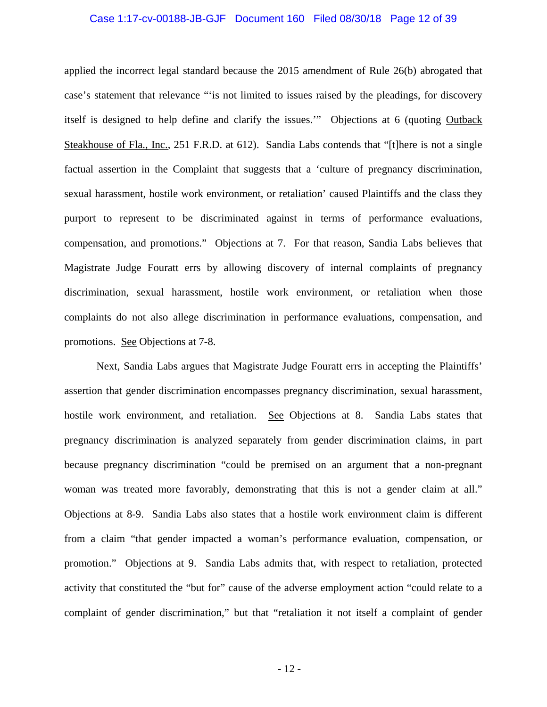#### Case 1:17-cv-00188-JB-GJF Document 160 Filed 08/30/18 Page 12 of 39

applied the incorrect legal standard because the 2015 amendment of Rule 26(b) abrogated that case's statement that relevance "'is not limited to issues raised by the pleadings, for discovery itself is designed to help define and clarify the issues.'" Objections at 6 (quoting Outback Steakhouse of Fla., Inc., 251 F.R.D. at 612). Sandia Labs contends that "[t]here is not a single factual assertion in the Complaint that suggests that a 'culture of pregnancy discrimination, sexual harassment, hostile work environment, or retaliation' caused Plaintiffs and the class they purport to represent to be discriminated against in terms of performance evaluations, compensation, and promotions." Objections at 7. For that reason, Sandia Labs believes that Magistrate Judge Fouratt errs by allowing discovery of internal complaints of pregnancy discrimination, sexual harassment, hostile work environment, or retaliation when those complaints do not also allege discrimination in performance evaluations, compensation, and promotions. See Objections at 7-8.

 Next, Sandia Labs argues that Magistrate Judge Fouratt errs in accepting the Plaintiffs' assertion that gender discrimination encompasses pregnancy discrimination, sexual harassment, hostile work environment, and retaliation. See Objections at 8. Sandia Labs states that pregnancy discrimination is analyzed separately from gender discrimination claims, in part because pregnancy discrimination "could be premised on an argument that a non-pregnant woman was treated more favorably, demonstrating that this is not a gender claim at all." Objections at 8-9. Sandia Labs also states that a hostile work environment claim is different from a claim "that gender impacted a woman's performance evaluation, compensation, or promotion." Objections at 9. Sandia Labs admits that, with respect to retaliation, protected activity that constituted the "but for" cause of the adverse employment action "could relate to a complaint of gender discrimination," but that "retaliation it not itself a complaint of gender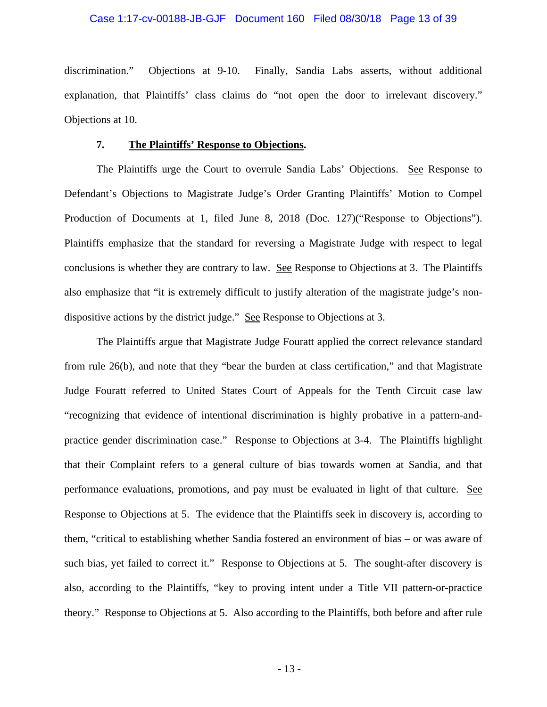#### Case 1:17-cv-00188-JB-GJF Document 160 Filed 08/30/18 Page 13 of 39

discrimination." Objections at 9-10. Finally, Sandia Labs asserts, without additional explanation, that Plaintiffs' class claims do "not open the door to irrelevant discovery." Objections at 10.

#### **7. The Plaintiffs' Response to Objections.**

The Plaintiffs urge the Court to overrule Sandia Labs' Objections. See Response to Defendant's Objections to Magistrate Judge's Order Granting Plaintiffs' Motion to Compel Production of Documents at 1, filed June 8, 2018 (Doc. 127)("Response to Objections"). Plaintiffs emphasize that the standard for reversing a Magistrate Judge with respect to legal conclusions is whether they are contrary to law. See Response to Objections at 3. The Plaintiffs also emphasize that "it is extremely difficult to justify alteration of the magistrate judge's nondispositive actions by the district judge." See Response to Objections at 3.

The Plaintiffs argue that Magistrate Judge Fouratt applied the correct relevance standard from rule 26(b), and note that they "bear the burden at class certification," and that Magistrate Judge Fouratt referred to United States Court of Appeals for the Tenth Circuit case law "recognizing that evidence of intentional discrimination is highly probative in a pattern-andpractice gender discrimination case." Response to Objections at 3-4. The Plaintiffs highlight that their Complaint refers to a general culture of bias towards women at Sandia, and that performance evaluations, promotions, and pay must be evaluated in light of that culture. See Response to Objections at 5. The evidence that the Plaintiffs seek in discovery is, according to them, "critical to establishing whether Sandia fostered an environment of bias – or was aware of such bias, yet failed to correct it." Response to Objections at 5. The sought-after discovery is also, according to the Plaintiffs, "key to proving intent under a Title VII pattern-or-practice theory." Response to Objections at 5. Also according to the Plaintiffs, both before and after rule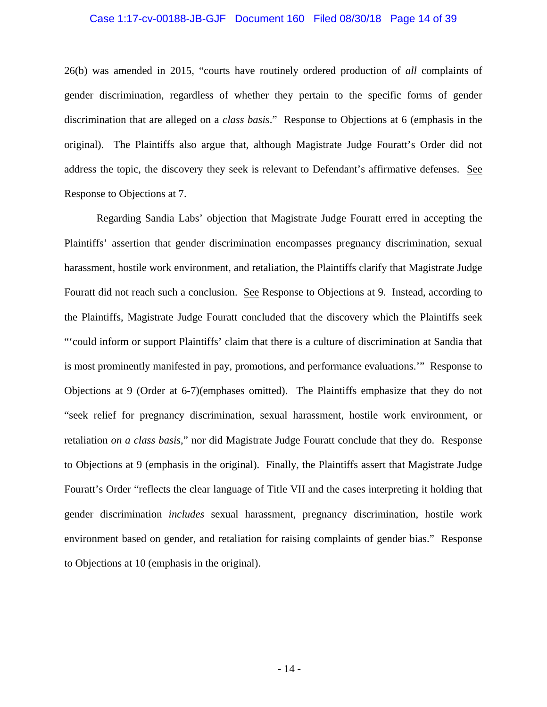#### Case 1:17-cv-00188-JB-GJF Document 160 Filed 08/30/18 Page 14 of 39

26(b) was amended in 2015, "courts have routinely ordered production of *all* complaints of gender discrimination, regardless of whether they pertain to the specific forms of gender discrimination that are alleged on a *class basis*." Response to Objections at 6 (emphasis in the original). The Plaintiffs also argue that, although Magistrate Judge Fouratt's Order did not address the topic, the discovery they seek is relevant to Defendant's affirmative defenses. See Response to Objections at 7.

Regarding Sandia Labs' objection that Magistrate Judge Fouratt erred in accepting the Plaintiffs' assertion that gender discrimination encompasses pregnancy discrimination, sexual harassment, hostile work environment, and retaliation, the Plaintiffs clarify that Magistrate Judge Fouratt did not reach such a conclusion. See Response to Objections at 9. Instead, according to the Plaintiffs, Magistrate Judge Fouratt concluded that the discovery which the Plaintiffs seek "'could inform or support Plaintiffs' claim that there is a culture of discrimination at Sandia that is most prominently manifested in pay, promotions, and performance evaluations.'" Response to Objections at 9 (Order at 6-7)(emphases omitted). The Plaintiffs emphasize that they do not "seek relief for pregnancy discrimination, sexual harassment, hostile work environment, or retaliation *on a class basis*," nor did Magistrate Judge Fouratt conclude that they do. Response to Objections at 9 (emphasis in the original). Finally, the Plaintiffs assert that Magistrate Judge Fouratt's Order "reflects the clear language of Title VII and the cases interpreting it holding that gender discrimination *includes* sexual harassment, pregnancy discrimination, hostile work environment based on gender, and retaliation for raising complaints of gender bias." Response to Objections at 10 (emphasis in the original).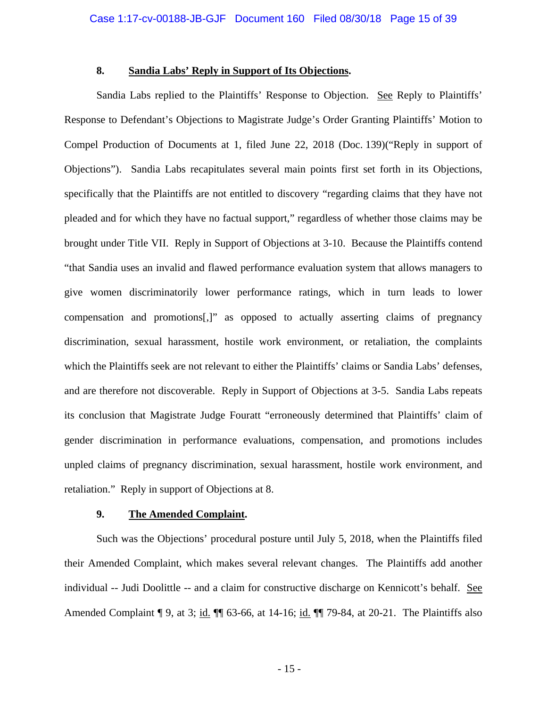## **8. Sandia Labs' Reply in Support of Its Objections.**

Sandia Labs replied to the Plaintiffs' Response to Objection. See Reply to Plaintiffs' Response to Defendant's Objections to Magistrate Judge's Order Granting Plaintiffs' Motion to Compel Production of Documents at 1, filed June 22, 2018 (Doc. 139)("Reply in support of Objections"). Sandia Labs recapitulates several main points first set forth in its Objections, specifically that the Plaintiffs are not entitled to discovery "regarding claims that they have not pleaded and for which they have no factual support," regardless of whether those claims may be brought under Title VII. Reply in Support of Objections at 3-10. Because the Plaintiffs contend "that Sandia uses an invalid and flawed performance evaluation system that allows managers to give women discriminatorily lower performance ratings, which in turn leads to lower compensation and promotions[,]" as opposed to actually asserting claims of pregnancy discrimination, sexual harassment, hostile work environment, or retaliation, the complaints which the Plaintiffs seek are not relevant to either the Plaintiffs' claims or Sandia Labs' defenses, and are therefore not discoverable. Reply in Support of Objections at 3-5. Sandia Labs repeats its conclusion that Magistrate Judge Fouratt "erroneously determined that Plaintiffs' claim of gender discrimination in performance evaluations, compensation, and promotions includes unpled claims of pregnancy discrimination, sexual harassment, hostile work environment, and retaliation." Reply in support of Objections at 8.

## **9. The Amended Complaint.**

Such was the Objections' procedural posture until July 5, 2018, when the Plaintiffs filed their Amended Complaint, which makes several relevant changes. The Plaintiffs add another individual -- Judi Doolittle -- and a claim for constructive discharge on Kennicott's behalf. See Amended Complaint ¶ 9, at 3; id. ¶¶ 63-66, at 14-16; id. ¶¶ 79-84, at 20-21. The Plaintiffs also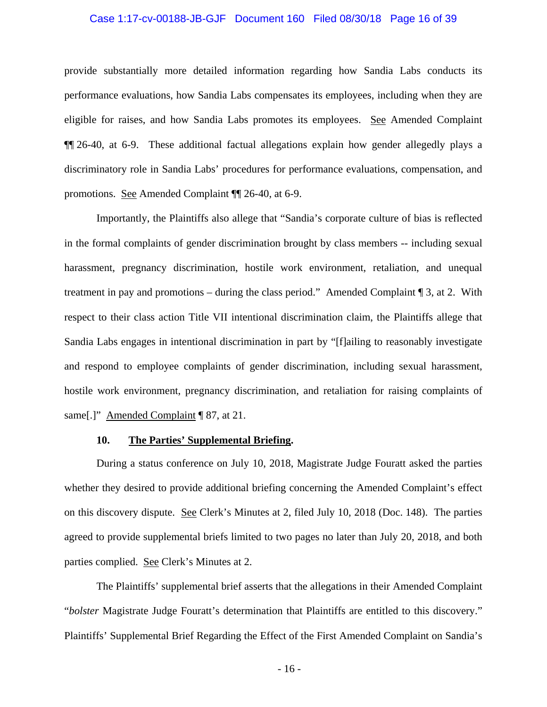#### Case 1:17-cv-00188-JB-GJF Document 160 Filed 08/30/18 Page 16 of 39

provide substantially more detailed information regarding how Sandia Labs conducts its performance evaluations, how Sandia Labs compensates its employees, including when they are eligible for raises, and how Sandia Labs promotes its employees. See Amended Complaint ¶¶ 26-40, at 6-9. These additional factual allegations explain how gender allegedly plays a discriminatory role in Sandia Labs' procedures for performance evaluations, compensation, and promotions. See Amended Complaint ¶¶ 26-40, at 6-9.

Importantly, the Plaintiffs also allege that "Sandia's corporate culture of bias is reflected in the formal complaints of gender discrimination brought by class members -- including sexual harassment, pregnancy discrimination, hostile work environment, retaliation, and unequal treatment in pay and promotions – during the class period." Amended Complaint ¶ 3, at 2. With respect to their class action Title VII intentional discrimination claim, the Plaintiffs allege that Sandia Labs engages in intentional discrimination in part by "[f]ailing to reasonably investigate and respond to employee complaints of gender discrimination, including sexual harassment, hostile work environment, pregnancy discrimination, and retaliation for raising complaints of same[.]" Amended Complaint [987, at 21.

#### **10. The Parties' Supplemental Briefing.**

During a status conference on July 10, 2018, Magistrate Judge Fouratt asked the parties whether they desired to provide additional briefing concerning the Amended Complaint's effect on this discovery dispute. See Clerk's Minutes at 2, filed July 10, 2018 (Doc. 148). The parties agreed to provide supplemental briefs limited to two pages no later than July 20, 2018, and both parties complied. See Clerk's Minutes at 2.

The Plaintiffs' supplemental brief asserts that the allegations in their Amended Complaint "*bolster* Magistrate Judge Fouratt's determination that Plaintiffs are entitled to this discovery." Plaintiffs' Supplemental Brief Regarding the Effect of the First Amended Complaint on Sandia's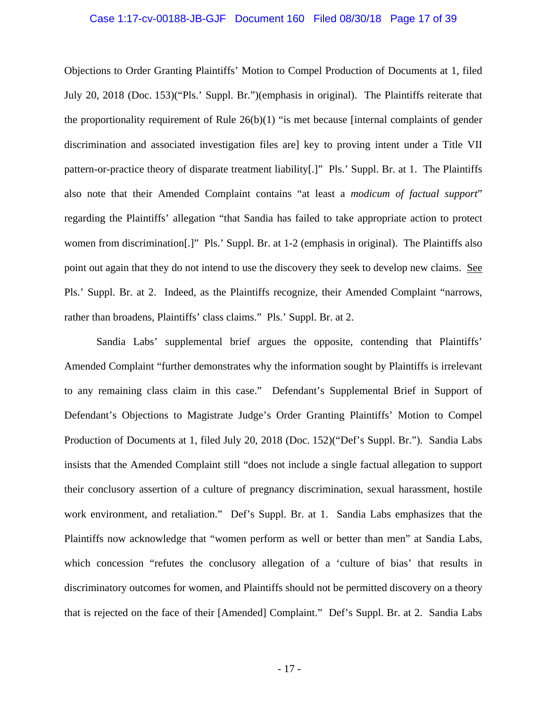#### Case 1:17-cv-00188-JB-GJF Document 160 Filed 08/30/18 Page 17 of 39

Objections to Order Granting Plaintiffs' Motion to Compel Production of Documents at 1, filed July 20, 2018 (Doc. 153)("Pls.' Suppl. Br.")(emphasis in original). The Plaintiffs reiterate that the proportionality requirement of Rule 26(b)(1) "is met because [internal complaints of gender discrimination and associated investigation files are] key to proving intent under a Title VII pattern-or-practice theory of disparate treatment liability[.]" Pls.' Suppl. Br. at 1. The Plaintiffs also note that their Amended Complaint contains "at least a *modicum of factual support*" regarding the Plaintiffs' allegation "that Sandia has failed to take appropriate action to protect women from discrimination[.]" Pls.' Suppl. Br. at 1-2 (emphasis in original). The Plaintiffs also point out again that they do not intend to use the discovery they seek to develop new claims. See Pls.' Suppl. Br. at 2. Indeed, as the Plaintiffs recognize, their Amended Complaint "narrows, rather than broadens, Plaintiffs' class claims." Pls.' Suppl. Br. at 2.

Sandia Labs' supplemental brief argues the opposite, contending that Plaintiffs' Amended Complaint "further demonstrates why the information sought by Plaintiffs is irrelevant to any remaining class claim in this case." Defendant's Supplemental Brief in Support of Defendant's Objections to Magistrate Judge's Order Granting Plaintiffs' Motion to Compel Production of Documents at 1, filed July 20, 2018 (Doc. 152)("Def's Suppl. Br."). Sandia Labs insists that the Amended Complaint still "does not include a single factual allegation to support their conclusory assertion of a culture of pregnancy discrimination, sexual harassment, hostile work environment, and retaliation." Def's Suppl. Br. at 1. Sandia Labs emphasizes that the Plaintiffs now acknowledge that "women perform as well or better than men" at Sandia Labs, which concession "refutes the conclusory allegation of a 'culture of bias' that results in discriminatory outcomes for women, and Plaintiffs should not be permitted discovery on a theory that is rejected on the face of their [Amended] Complaint." Def's Suppl. Br. at 2. Sandia Labs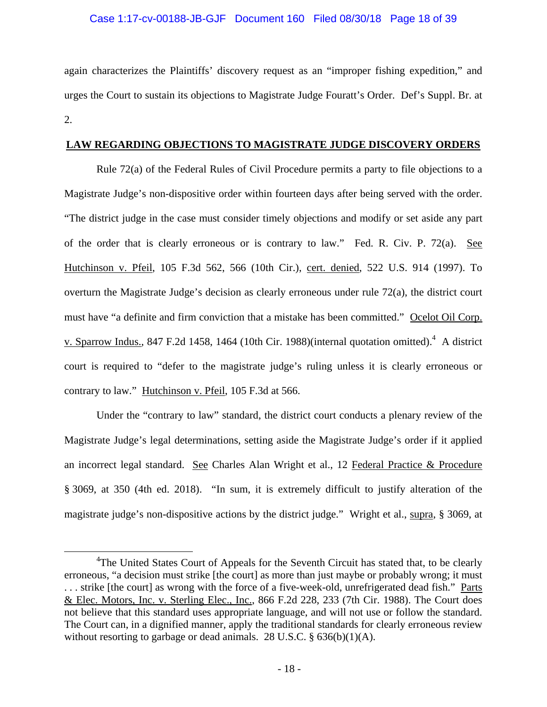### Case 1:17-cv-00188-JB-GJF Document 160 Filed 08/30/18 Page 18 of 39

again characterizes the Plaintiffs' discovery request as an "improper fishing expedition," and urges the Court to sustain its objections to Magistrate Judge Fouratt's Order. Def's Suppl. Br. at 2.

## **LAW REGARDING OBJECTIONS TO MAGISTRATE JUDGE DISCOVERY ORDERS**

Rule 72(a) of the Federal Rules of Civil Procedure permits a party to file objections to a Magistrate Judge's non-dispositive order within fourteen days after being served with the order. "The district judge in the case must consider timely objections and modify or set aside any part of the order that is clearly erroneous or is contrary to law." Fed. R. Civ. P. 72(a). See Hutchinson v. Pfeil, 105 F.3d 562, 566 (10th Cir.), cert. denied, 522 U.S. 914 (1997). To overturn the Magistrate Judge's decision as clearly erroneous under rule 72(a), the district court must have "a definite and firm conviction that a mistake has been committed." Ocelot Oil Corp. v. Sparrow Indus., 847 F.2d 1458, 1464 (10th Cir. 1988) (internal quotation omitted). <sup>4</sup> A district court is required to "defer to the magistrate judge's ruling unless it is clearly erroneous or contrary to law." Hutchinson v. Pfeil, 105 F.3d at 566.

Under the "contrary to law" standard, the district court conducts a plenary review of the Magistrate Judge's legal determinations, setting aside the Magistrate Judge's order if it applied an incorrect legal standard. See Charles Alan Wright et al., 12 Federal Practice & Procedure § 3069, at 350 (4th ed. 2018). "In sum, it is extremely difficult to justify alteration of the magistrate judge's non-dispositive actions by the district judge." Wright et al., supra, § 3069, at

 $\overline{4}$ <sup>4</sup>The United States Court of Appeals for the Seventh Circuit has stated that, to be clearly erroneous, "a decision must strike [the court] as more than just maybe or probably wrong; it must . . . strike [the court] as wrong with the force of a five-week-old, unrefrigerated dead fish." Parts & Elec. Motors, Inc. v. Sterling Elec., Inc., 866 F.2d 228, 233 (7th Cir. 1988). The Court does not believe that this standard uses appropriate language, and will not use or follow the standard. The Court can, in a dignified manner, apply the traditional standards for clearly erroneous review without resorting to garbage or dead animals. 28 U.S.C.  $\S$  636(b)(1)(A).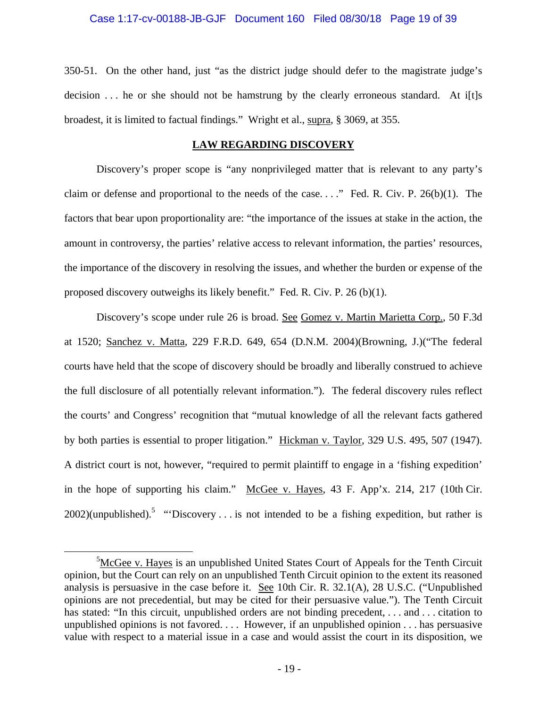#### Case 1:17-cv-00188-JB-GJF Document 160 Filed 08/30/18 Page 19 of 39

350-51. On the other hand, just "as the district judge should defer to the magistrate judge's decision  $\dots$  he or she should not be hamstrung by the clearly erroneous standard. At i[t]s broadest, it is limited to factual findings." Wright et al., supra, § 3069, at 355.

#### **LAW REGARDING DISCOVERY**

Discovery's proper scope is "any nonprivileged matter that is relevant to any party's claim or defense and proportional to the needs of the case. . . ." Fed. R. Civ. P. 26(b)(1). The factors that bear upon proportionality are: "the importance of the issues at stake in the action, the amount in controversy, the parties' relative access to relevant information, the parties' resources, the importance of the discovery in resolving the issues, and whether the burden or expense of the proposed discovery outweighs its likely benefit." Fed. R. Civ. P. 26 (b)(1).

Discovery's scope under rule 26 is broad. See Gomez v. Martin Marietta Corp., 50 F.3d at 1520; Sanchez v. Matta, 229 F.R.D. 649, 654 (D.N.M. 2004)(Browning, J.)("The federal courts have held that the scope of discovery should be broadly and liberally construed to achieve the full disclosure of all potentially relevant information."). The federal discovery rules reflect the courts' and Congress' recognition that "mutual knowledge of all the relevant facts gathered by both parties is essential to proper litigation." Hickman v. Taylor, 329 U.S. 495, 507 (1947). A district court is not, however, "required to permit plaintiff to engage in a 'fishing expedition' in the hope of supporting his claim." McGee v. Hayes, 43 F. App'x. 214, 217 (10th Cir. 2002)(unpublished).<sup>5</sup> "Discovery . . . is not intended to be a fishing expedition, but rather is

 $rac{1}{5}$ <sup>5</sup>McGee v. Hayes is an unpublished United States Court of Appeals for the Tenth Circuit opinion, but the Court can rely on an unpublished Tenth Circuit opinion to the extent its reasoned analysis is persuasive in the case before it. See 10th Cir. R. 32.1(A), 28 U.S.C. ("Unpublished opinions are not precedential, but may be cited for their persuasive value."). The Tenth Circuit has stated: "In this circuit, unpublished orders are not binding precedent, ... and ... citation to unpublished opinions is not favored. . . . However, if an unpublished opinion . . . has persuasive value with respect to a material issue in a case and would assist the court in its disposition, we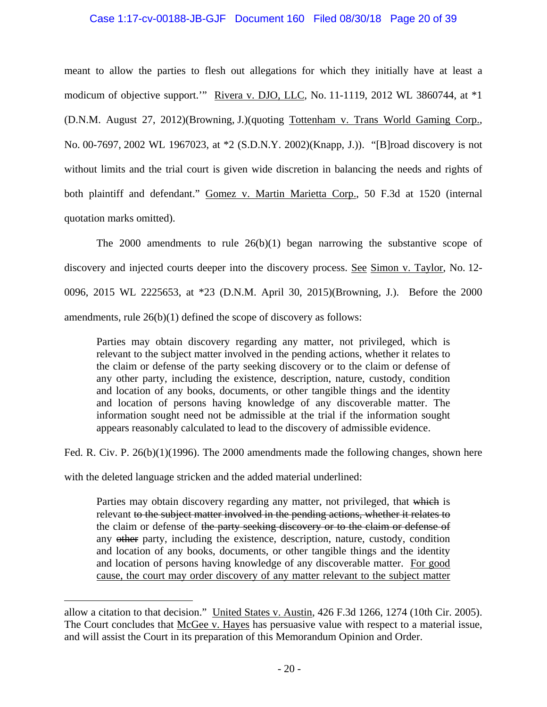## Case 1:17-cv-00188-JB-GJF Document 160 Filed 08/30/18 Page 20 of 39

meant to allow the parties to flesh out allegations for which they initially have at least a modicum of objective support." Rivera v. DJO, LLC, No. 11-1119, 2012 WL 3860744, at \*1 (D.N.M. August 27, 2012)(Browning, J.)(quoting Tottenham v. Trans World Gaming Corp., No. 00-7697, 2002 WL 1967023, at \*2 (S.D.N.Y. 2002)(Knapp, J.)). "[B]road discovery is not without limits and the trial court is given wide discretion in balancing the needs and rights of both plaintiff and defendant." Gomez v. Martin Marietta Corp., 50 F.3d at 1520 (internal quotation marks omitted).

The 2000 amendments to rule 26(b)(1) began narrowing the substantive scope of discovery and injected courts deeper into the discovery process. See Simon v. Taylor, No. 12- 0096, 2015 WL 2225653, at \*23 (D.N.M. April 30, 2015)(Browning, J.). Before the 2000 amendments, rule 26(b)(1) defined the scope of discovery as follows:

Parties may obtain discovery regarding any matter, not privileged, which is relevant to the subject matter involved in the pending actions, whether it relates to the claim or defense of the party seeking discovery or to the claim or defense of any other party, including the existence, description, nature, custody, condition and location of any books, documents, or other tangible things and the identity and location of persons having knowledge of any discoverable matter. The information sought need not be admissible at the trial if the information sought appears reasonably calculated to lead to the discovery of admissible evidence.

Fed. R. Civ. P. 26(b)(1)(1996). The 2000 amendments made the following changes, shown here

with the deleted language stricken and the added material underlined:

 $\overline{a}$ 

Parties may obtain discovery regarding any matter, not privileged, that which is relevant to the subject matter involved in the pending actions, whether it relates to the claim or defense of the party seeking discovery or to the claim or defense of any other party, including the existence, description, nature, custody, condition and location of any books, documents, or other tangible things and the identity and location of persons having knowledge of any discoverable matter. For good cause, the court may order discovery of any matter relevant to the subject matter

allow a citation to that decision." United States v. Austin, 426 F.3d 1266, 1274 (10th Cir. 2005). The Court concludes that McGee v. Hayes has persuasive value with respect to a material issue, and will assist the Court in its preparation of this Memorandum Opinion and Order.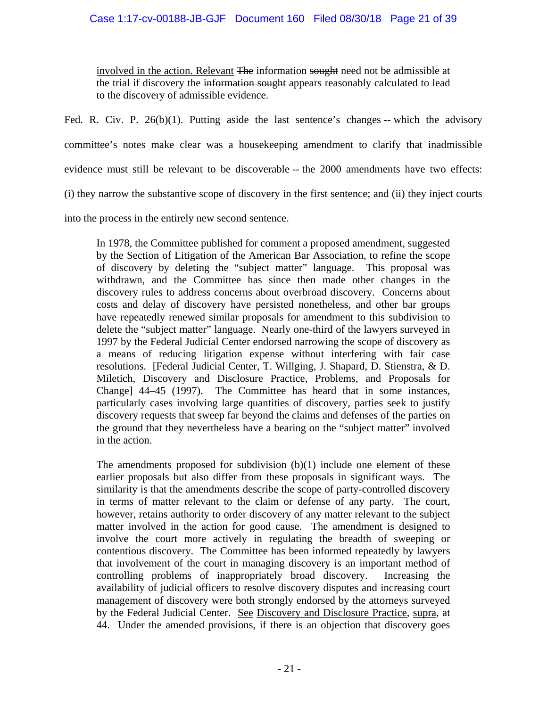involved in the action. Relevant The information sought need not be admissible at the trial if discovery the information sought appears reasonably calculated to lead to the discovery of admissible evidence.

Fed. R. Civ. P.  $26(b)(1)$ . Putting aside the last sentence's changes -- which the advisory committee's notes make clear was a housekeeping amendment to clarify that inadmissible evidence must still be relevant to be discoverable -- the 2000 amendments have two effects: (i) they narrow the substantive scope of discovery in the first sentence; and (ii) they inject courts

into the process in the entirely new second sentence.

In 1978, the Committee published for comment a proposed amendment, suggested by the Section of Litigation of the American Bar Association, to refine the scope of discovery by deleting the "subject matter" language. This proposal was withdrawn, and the Committee has since then made other changes in the discovery rules to address concerns about overbroad discovery. Concerns about costs and delay of discovery have persisted nonetheless, and other bar groups have repeatedly renewed similar proposals for amendment to this subdivision to delete the "subject matter" language. Nearly one-third of the lawyers surveyed in 1997 by the Federal Judicial Center endorsed narrowing the scope of discovery as a means of reducing litigation expense without interfering with fair case resolutions. [Federal Judicial Center, T. Willging, J. Shapard, D. Stienstra, & D. Miletich, Discovery and Disclosure Practice, Problems, and Proposals for Change] 44–45 (1997). The Committee has heard that in some instances, particularly cases involving large quantities of discovery, parties seek to justify discovery requests that sweep far beyond the claims and defenses of the parties on the ground that they nevertheless have a bearing on the "subject matter" involved in the action.

The amendments proposed for subdivision  $(b)(1)$  include one element of these earlier proposals but also differ from these proposals in significant ways. The similarity is that the amendments describe the scope of party-controlled discovery in terms of matter relevant to the claim or defense of any party. The court, however, retains authority to order discovery of any matter relevant to the subject matter involved in the action for good cause. The amendment is designed to involve the court more actively in regulating the breadth of sweeping or contentious discovery. The Committee has been informed repeatedly by lawyers that involvement of the court in managing discovery is an important method of controlling problems of inappropriately broad discovery. Increasing the availability of judicial officers to resolve discovery disputes and increasing court management of discovery were both strongly endorsed by the attorneys surveyed by the Federal Judicial Center. See Discovery and Disclosure Practice, supra, at 44. Under the amended provisions, if there is an objection that discovery goes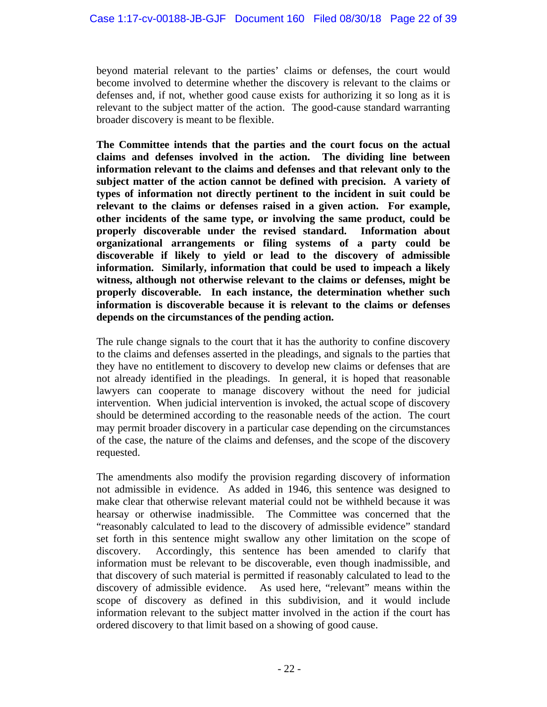beyond material relevant to the parties' claims or defenses, the court would become involved to determine whether the discovery is relevant to the claims or defenses and, if not, whether good cause exists for authorizing it so long as it is relevant to the subject matter of the action. The good-cause standard warranting broader discovery is meant to be flexible.

**The Committee intends that the parties and the court focus on the actual claims and defenses involved in the action. The dividing line between information relevant to the claims and defenses and that relevant only to the subject matter of the action cannot be defined with precision. A variety of types of information not directly pertinent to the incident in suit could be relevant to the claims or defenses raised in a given action. For example, other incidents of the same type, or involving the same product, could be properly discoverable under the revised standard. Information about organizational arrangements or filing systems of a party could be discoverable if likely to yield or lead to the discovery of admissible information. Similarly, information that could be used to impeach a likely witness, although not otherwise relevant to the claims or defenses, might be properly discoverable. In each instance, the determination whether such information is discoverable because it is relevant to the claims or defenses depends on the circumstances of the pending action.** 

The rule change signals to the court that it has the authority to confine discovery to the claims and defenses asserted in the pleadings, and signals to the parties that they have no entitlement to discovery to develop new claims or defenses that are not already identified in the pleadings. In general, it is hoped that reasonable lawyers can cooperate to manage discovery without the need for judicial intervention. When judicial intervention is invoked, the actual scope of discovery should be determined according to the reasonable needs of the action. The court may permit broader discovery in a particular case depending on the circumstances of the case, the nature of the claims and defenses, and the scope of the discovery requested.

The amendments also modify the provision regarding discovery of information not admissible in evidence. As added in 1946, this sentence was designed to make clear that otherwise relevant material could not be withheld because it was hearsay or otherwise inadmissible. The Committee was concerned that the "reasonably calculated to lead to the discovery of admissible evidence" standard set forth in this sentence might swallow any other limitation on the scope of discovery. Accordingly, this sentence has been amended to clarify that information must be relevant to be discoverable, even though inadmissible, and that discovery of such material is permitted if reasonably calculated to lead to the discovery of admissible evidence. As used here, "relevant" means within the scope of discovery as defined in this subdivision, and it would include information relevant to the subject matter involved in the action if the court has ordered discovery to that limit based on a showing of good cause.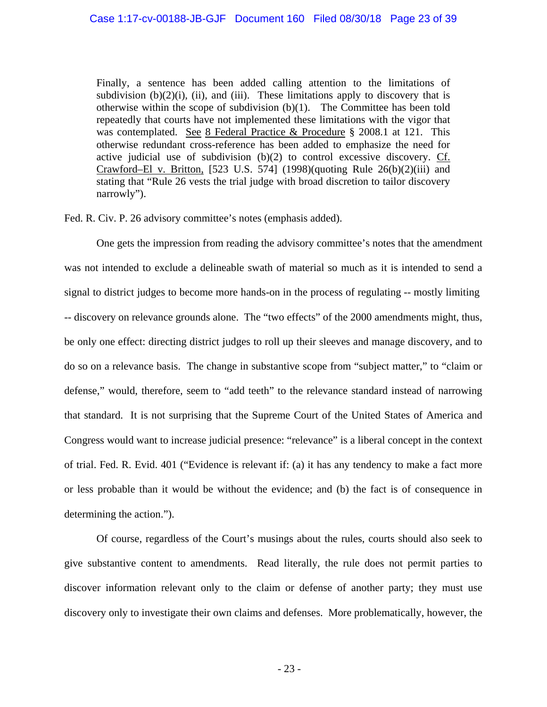Finally, a sentence has been added calling attention to the limitations of subdivision  $(b)(2)(i)$ ,  $(ii)$ , and  $(iii)$ . These limitations apply to discovery that is otherwise within the scope of subdivision  $(b)(1)$ . The Committee has been told repeatedly that courts have not implemented these limitations with the vigor that was contemplated. See 8 Federal Practice & Procedure § 2008.1 at 121. This otherwise redundant cross-reference has been added to emphasize the need for active judicial use of subdivision (b)(2) to control excessive discovery. Cf. Crawford–El v. Britton, [523 U.S. 574] (1998)(quoting Rule  $26(b)(2)(iii)$  and stating that "Rule 26 vests the trial judge with broad discretion to tailor discovery narrowly").

Fed. R. Civ. P. 26 advisory committee's notes (emphasis added).

One gets the impression from reading the advisory committee's notes that the amendment was not intended to exclude a delineable swath of material so much as it is intended to send a signal to district judges to become more hands-on in the process of regulating -- mostly limiting -- discovery on relevance grounds alone. The "two effects" of the 2000 amendments might, thus, be only one effect: directing district judges to roll up their sleeves and manage discovery, and to do so on a relevance basis. The change in substantive scope from "subject matter," to "claim or defense," would, therefore, seem to "add teeth" to the relevance standard instead of narrowing that standard. It is not surprising that the Supreme Court of the United States of America and Congress would want to increase judicial presence: "relevance" is a liberal concept in the context of trial. Fed. R. Evid. 401 ("Evidence is relevant if: (a) it has any tendency to make a fact more or less probable than it would be without the evidence; and (b) the fact is of consequence in determining the action.").

Of course, regardless of the Court's musings about the rules, courts should also seek to give substantive content to amendments. Read literally, the rule does not permit parties to discover information relevant only to the claim or defense of another party; they must use discovery only to investigate their own claims and defenses. More problematically, however, the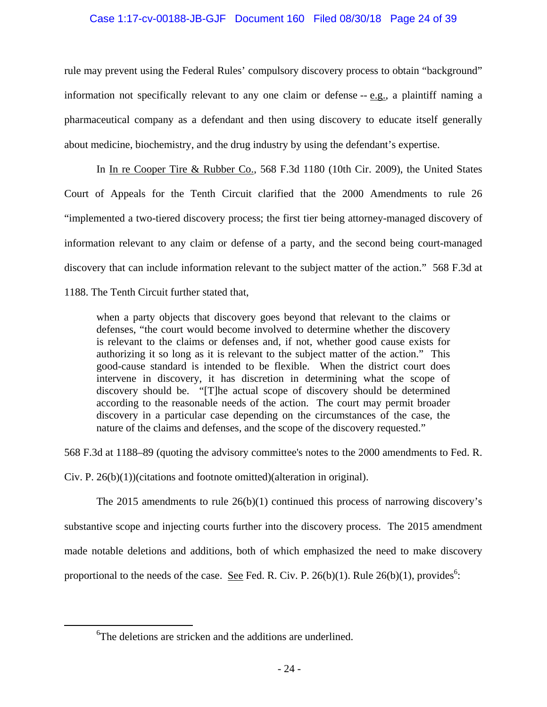## Case 1:17-cv-00188-JB-GJF Document 160 Filed 08/30/18 Page 24 of 39

rule may prevent using the Federal Rules' compulsory discovery process to obtain "background" information not specifically relevant to any one claim or defense -- e.g., a plaintiff naming a pharmaceutical company as a defendant and then using discovery to educate itself generally about medicine, biochemistry, and the drug industry by using the defendant's expertise.

In In re Cooper Tire & Rubber Co., 568 F.3d 1180 (10th Cir. 2009), the United States Court of Appeals for the Tenth Circuit clarified that the 2000 Amendments to rule 26 "implemented a two-tiered discovery process; the first tier being attorney-managed discovery of information relevant to any claim or defense of a party, and the second being court-managed discovery that can include information relevant to the subject matter of the action." 568 F.3d at

1188. The Tenth Circuit further stated that,

when a party objects that discovery goes beyond that relevant to the claims or defenses, "the court would become involved to determine whether the discovery is relevant to the claims or defenses and, if not, whether good cause exists for authorizing it so long as it is relevant to the subject matter of the action." This good-cause standard is intended to be flexible. When the district court does intervene in discovery, it has discretion in determining what the scope of discovery should be. "[T]he actual scope of discovery should be determined according to the reasonable needs of the action. The court may permit broader discovery in a particular case depending on the circumstances of the case, the nature of the claims and defenses, and the scope of the discovery requested."

568 F.3d at 1188–89 (quoting the advisory committee's notes to the 2000 amendments to Fed. R.

Civ. P. 26(b)(1))(citations and footnote omitted)(alteration in original).

The 2015 amendments to rule  $26(b)(1)$  continued this process of narrowing discovery's substantive scope and injecting courts further into the discovery process. The 2015 amendment made notable deletions and additions, both of which emphasized the need to make discovery proportional to the needs of the case. <u>See</u> Fed. R. Civ. P. 26(b)(1). Rule 26(b)(1), provides<sup>6</sup>:

 <sup>6</sup> <sup>6</sup>The deletions are stricken and the additions are underlined.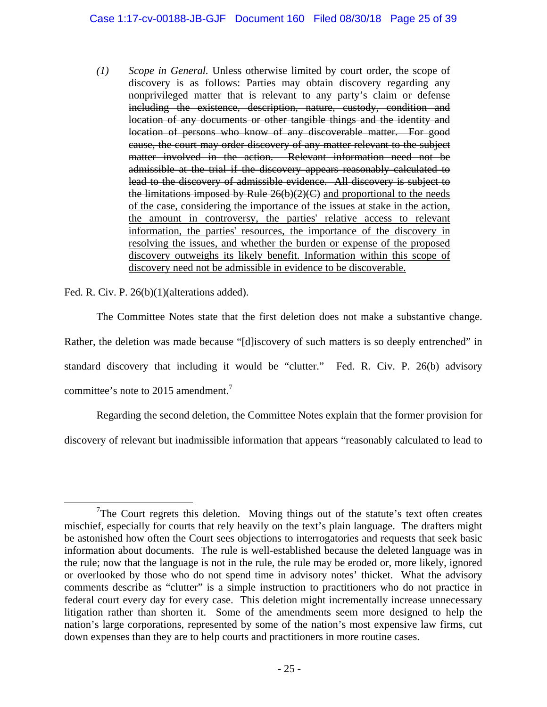*(1) Scope in General.* Unless otherwise limited by court order, the scope of discovery is as follows: Parties may obtain discovery regarding any nonprivileged matter that is relevant to any party's claim or defense including the existence, description, nature, custody, condition and location of any documents or other tangible things and the identity and location of persons who know of any discoverable matter. For good cause, the court may order discovery of any matter relevant to the subject matter involved in the action. Relevant information need not be admissible at the trial if the discovery appears reasonably calculated to lead to the discovery of admissible evidence. All discovery is subject to the limitations imposed by Rule  $26(b)(2)(C)$  and proportional to the needs of the case, considering the importance of the issues at stake in the action, the amount in controversy, the parties' relative access to relevant information, the parties' resources, the importance of the discovery in resolving the issues, and whether the burden or expense of the proposed discovery outweighs its likely benefit. Information within this scope of discovery need not be admissible in evidence to be discoverable.

Fed. R. Civ. P. 26(b)(1)(alterations added).

The Committee Notes state that the first deletion does not make a substantive change. Rather, the deletion was made because "[d]iscovery of such matters is so deeply entrenched" in standard discovery that including it would be "clutter." Fed. R. Civ. P. 26(b) advisory committee's note to 2015 amendment.<sup>7</sup>

Regarding the second deletion, the Committee Notes explain that the former provision for discovery of relevant but inadmissible information that appears "reasonably calculated to lead to

 $\frac{1}{7}$ <sup>7</sup>The Court regrets this deletion. Moving things out of the statute's text often creates mischief, especially for courts that rely heavily on the text's plain language. The drafters might be astonished how often the Court sees objections to interrogatories and requests that seek basic information about documents. The rule is well-established because the deleted language was in the rule; now that the language is not in the rule, the rule may be eroded or, more likely, ignored or overlooked by those who do not spend time in advisory notes' thicket. What the advisory comments describe as "clutter" is a simple instruction to practitioners who do not practice in federal court every day for every case. This deletion might incrementally increase unnecessary litigation rather than shorten it. Some of the amendments seem more designed to help the nation's large corporations, represented by some of the nation's most expensive law firms, cut down expenses than they are to help courts and practitioners in more routine cases.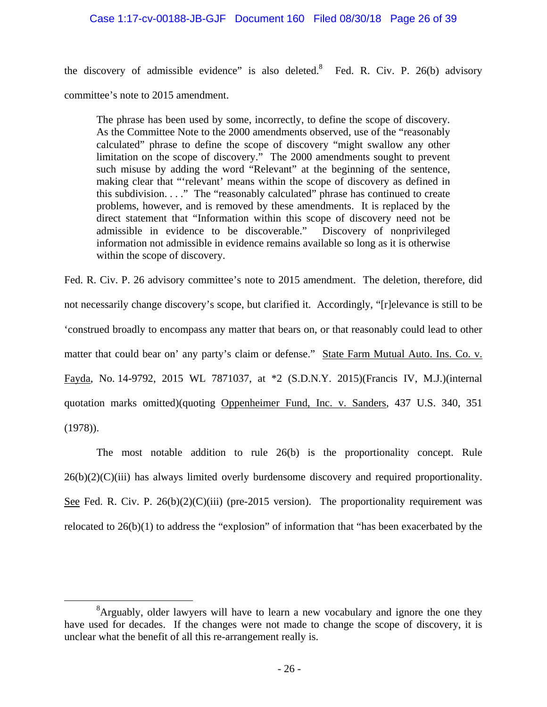## Case 1:17-cv-00188-JB-GJF Document 160 Filed 08/30/18 Page 26 of 39

the discovery of admissible evidence" is also deleted.<sup>8</sup> Fed. R. Civ. P. 26(b) advisory committee's note to 2015 amendment.

The phrase has been used by some, incorrectly, to define the scope of discovery. As the Committee Note to the 2000 amendments observed, use of the "reasonably calculated" phrase to define the scope of discovery "might swallow any other limitation on the scope of discovery." The 2000 amendments sought to prevent such misuse by adding the word "Relevant" at the beginning of the sentence, making clear that "'relevant' means within the scope of discovery as defined in this subdivision. . . ." The "reasonably calculated" phrase has continued to create problems, however, and is removed by these amendments. It is replaced by the direct statement that "Information within this scope of discovery need not be admissible in evidence to be discoverable." Discovery of nonprivileged information not admissible in evidence remains available so long as it is otherwise within the scope of discovery.

Fed. R. Civ. P. 26 advisory committee's note to 2015 amendment. The deletion, therefore, did not necessarily change discovery's scope, but clarified it. Accordingly, "[r]elevance is still to be 'construed broadly to encompass any matter that bears on, or that reasonably could lead to other matter that could bear on' any party's claim or defense." State Farm Mutual Auto. Ins. Co. v. Fayda, No. 14-9792, 2015 WL 7871037, at \*2 (S.D.N.Y. 2015)(Francis IV, M.J.)(internal quotation marks omitted)(quoting Oppenheimer Fund, Inc. v. Sanders, 437 U.S. 340, 351 (1978)).

The most notable addition to rule 26(b) is the proportionality concept. Rule  $26(b)(2)(C)(iii)$  has always limited overly burdensome discovery and required proportionality. See Fed. R. Civ. P.  $26(b)(2)(C)(iii)$  (pre-2015 version). The proportionality requirement was relocated to 26(b)(1) to address the "explosion" of information that "has been exacerbated by the

 <sup>8</sup> <sup>8</sup>Arguably, older lawyers will have to learn a new vocabulary and ignore the one they have used for decades. If the changes were not made to change the scope of discovery, it is unclear what the benefit of all this re-arrangement really is.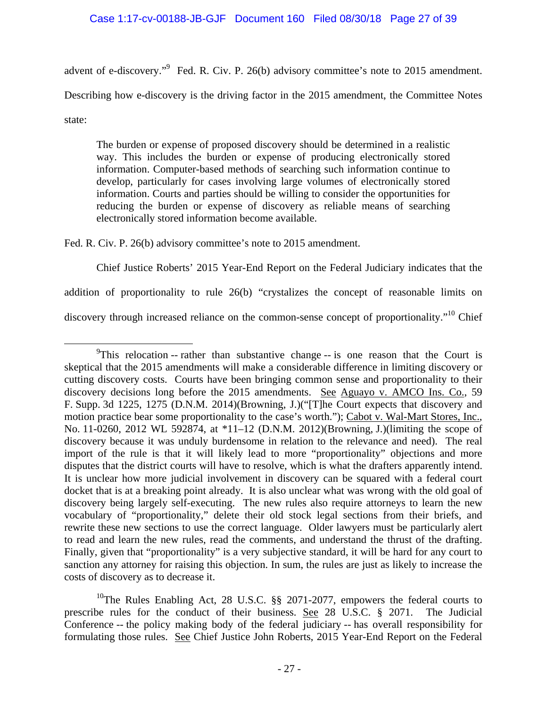## Case 1:17-cv-00188-JB-GJF Document 160 Filed 08/30/18 Page 27 of 39

advent of e-discovery."<sup>9</sup> Fed. R. Civ. P. 26(b) advisory committee's note to 2015 amendment. Describing how e-discovery is the driving factor in the 2015 amendment, the Committee Notes state:

The burden or expense of proposed discovery should be determined in a realistic way. This includes the burden or expense of producing electronically stored information. Computer-based methods of searching such information continue to develop, particularly for cases involving large volumes of electronically stored information. Courts and parties should be willing to consider the opportunities for reducing the burden or expense of discovery as reliable means of searching electronically stored information become available.

Fed. R. Civ. P. 26(b) advisory committee's note to 2015 amendment.

Chief Justice Roberts' 2015 Year-End Report on the Federal Judiciary indicates that the addition of proportionality to rule 26(b) "crystalizes the concept of reasonable limits on discovery through increased reliance on the common-sense concept of proportionality."10 Chief

 $\frac{1}{\sqrt{9}}$ <sup>9</sup>This relocation -- rather than substantive change -- is one reason that the Court is skeptical that the 2015 amendments will make a considerable difference in limiting discovery or cutting discovery costs. Courts have been bringing common sense and proportionality to their discovery decisions long before the 2015 amendments. See Aguayo v. AMCO Ins. Co., 59 F. Supp. 3d 1225, 1275 (D.N.M. 2014)(Browning, J.)("[T]he Court expects that discovery and motion practice bear some proportionality to the case's worth."); Cabot v. Wal-Mart Stores, Inc., No. 11-0260, 2012 WL 592874, at \*11–12 (D.N.M. 2012)(Browning, J.)(limiting the scope of discovery because it was unduly burdensome in relation to the relevance and need). The real import of the rule is that it will likely lead to more "proportionality" objections and more disputes that the district courts will have to resolve, which is what the drafters apparently intend. It is unclear how more judicial involvement in discovery can be squared with a federal court docket that is at a breaking point already. It is also unclear what was wrong with the old goal of discovery being largely self-executing. The new rules also require attorneys to learn the new vocabulary of "proportionality," delete their old stock legal sections from their briefs, and rewrite these new sections to use the correct language. Older lawyers must be particularly alert to read and learn the new rules, read the comments, and understand the thrust of the drafting. Finally, given that "proportionality" is a very subjective standard, it will be hard for any court to sanction any attorney for raising this objection. In sum, the rules are just as likely to increase the costs of discovery as to decrease it.

<sup>&</sup>lt;sup>10</sup>The Rules Enabling Act, 28 U.S.C. §§ 2071-2077, empowers the federal courts to prescribe rules for the conduct of their business. See 28 U.S.C. § 2071. The Judicial Conference -- the policy making body of the federal judiciary -- has overall responsibility for formulating those rules. See Chief Justice John Roberts, 2015 Year-End Report on the Federal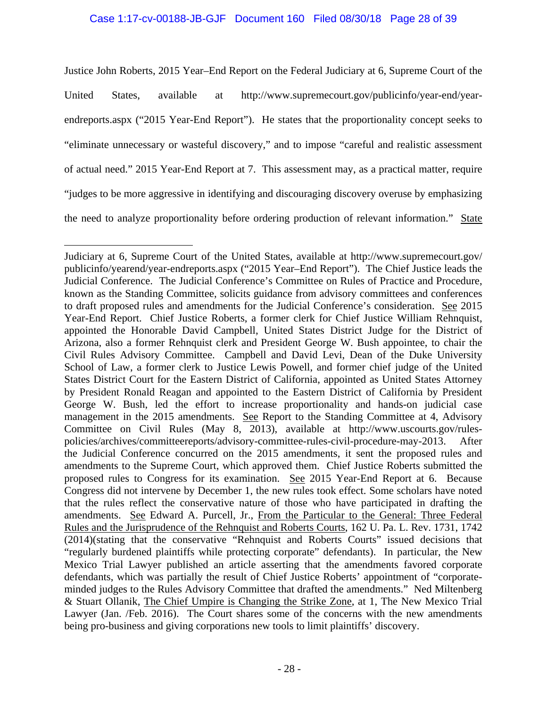## Case 1:17-cv-00188-JB-GJF Document 160 Filed 08/30/18 Page 28 of 39

Justice John Roberts, 2015 Year–End Report on the Federal Judiciary at 6, Supreme Court of the United States, available at http://www.supremecourt.gov/publicinfo/year-end/yearendreports.aspx ("2015 Year-End Report"). He states that the proportionality concept seeks to "eliminate unnecessary or wasteful discovery," and to impose "careful and realistic assessment of actual need." 2015 Year-End Report at 7. This assessment may, as a practical matter, require "judges to be more aggressive in identifying and discouraging discovery overuse by emphasizing the need to analyze proportionality before ordering production of relevant information." State

 $\overline{a}$ 

Judiciary at 6, Supreme Court of the United States, available at http://www.supremecourt.gov/ publicinfo/yearend/year-endreports.aspx ("2015 Year–End Report"). The Chief Justice leads the Judicial Conference. The Judicial Conference's Committee on Rules of Practice and Procedure, known as the Standing Committee, solicits guidance from advisory committees and conferences to draft proposed rules and amendments for the Judicial Conference's consideration. See 2015 Year-End Report. Chief Justice Roberts, a former clerk for Chief Justice William Rehnquist, appointed the Honorable David Campbell, United States District Judge for the District of Arizona, also a former Rehnquist clerk and President George W. Bush appointee, to chair the Civil Rules Advisory Committee. Campbell and David Levi, Dean of the Duke University School of Law, a former clerk to Justice Lewis Powell, and former chief judge of the United States District Court for the Eastern District of California, appointed as United States Attorney by President Ronald Reagan and appointed to the Eastern District of California by President George W. Bush, led the effort to increase proportionality and hands-on judicial case management in the 2015 amendments. See Report to the Standing Committee at 4, Advisory Committee on Civil Rules (May 8, 2013), available at http://www.uscourts.gov/rulespolicies/archives/committeereports/advisory-committee-rules-civil-procedure-may-2013. After the Judicial Conference concurred on the 2015 amendments, it sent the proposed rules and amendments to the Supreme Court, which approved them. Chief Justice Roberts submitted the proposed rules to Congress for its examination. See 2015 Year-End Report at 6. Because Congress did not intervene by December 1, the new rules took effect. Some scholars have noted that the rules reflect the conservative nature of those who have participated in drafting the amendments. See Edward A. Purcell, Jr., From the Particular to the General: Three Federal Rules and the Jurisprudence of the Rehnquist and Roberts Courts, 162 U. Pa. L. Rev. 1731, 1742 (2014)(stating that the conservative "Rehnquist and Roberts Courts" issued decisions that "regularly burdened plaintiffs while protecting corporate" defendants). In particular, the New Mexico Trial Lawyer published an article asserting that the amendments favored corporate defendants, which was partially the result of Chief Justice Roberts' appointment of "corporateminded judges to the Rules Advisory Committee that drafted the amendments." Ned Miltenberg & Stuart Ollanik, The Chief Umpire is Changing the Strike Zone, at 1, The New Mexico Trial Lawyer (Jan. /Feb. 2016). The Court shares some of the concerns with the new amendments being pro-business and giving corporations new tools to limit plaintiffs' discovery.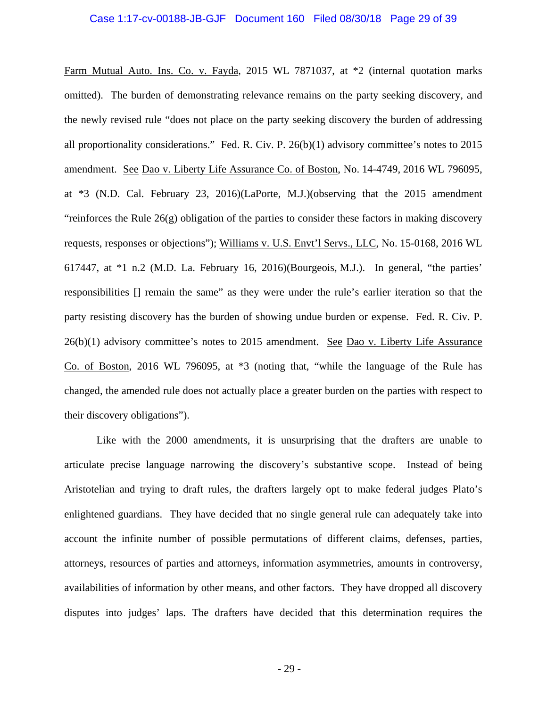#### Case 1:17-cv-00188-JB-GJF Document 160 Filed 08/30/18 Page 29 of 39

Farm Mutual Auto. Ins. Co. v. Fayda, 2015 WL 7871037, at \*2 (internal quotation marks omitted). The burden of demonstrating relevance remains on the party seeking discovery, and the newly revised rule "does not place on the party seeking discovery the burden of addressing all proportionality considerations." Fed. R. Civ. P. 26(b)(1) advisory committee's notes to 2015 amendment. See Dao v. Liberty Life Assurance Co. of Boston, No. 14-4749, 2016 WL 796095, at \*3 (N.D. Cal. February 23, 2016)(LaPorte, M.J.)(observing that the 2015 amendment "reinforces the Rule 26(g) obligation of the parties to consider these factors in making discovery requests, responses or objections"); Williams v. U.S. Envt'l Servs., LLC, No. 15-0168, 2016 WL 617447, at \*1 n.2 (M.D. La. February 16, 2016)(Bourgeois, M.J.). In general, "the parties' responsibilities [] remain the same" as they were under the rule's earlier iteration so that the party resisting discovery has the burden of showing undue burden or expense. Fed. R. Civ. P. 26(b)(1) advisory committee's notes to 2015 amendment. See Dao v. Liberty Life Assurance Co. of Boston, 2016 WL 796095, at \*3 (noting that, "while the language of the Rule has changed, the amended rule does not actually place a greater burden on the parties with respect to their discovery obligations").

Like with the 2000 amendments, it is unsurprising that the drafters are unable to articulate precise language narrowing the discovery's substantive scope. Instead of being Aristotelian and trying to draft rules, the drafters largely opt to make federal judges Plato's enlightened guardians. They have decided that no single general rule can adequately take into account the infinite number of possible permutations of different claims, defenses, parties, attorneys, resources of parties and attorneys, information asymmetries, amounts in controversy, availabilities of information by other means, and other factors. They have dropped all discovery disputes into judges' laps. The drafters have decided that this determination requires the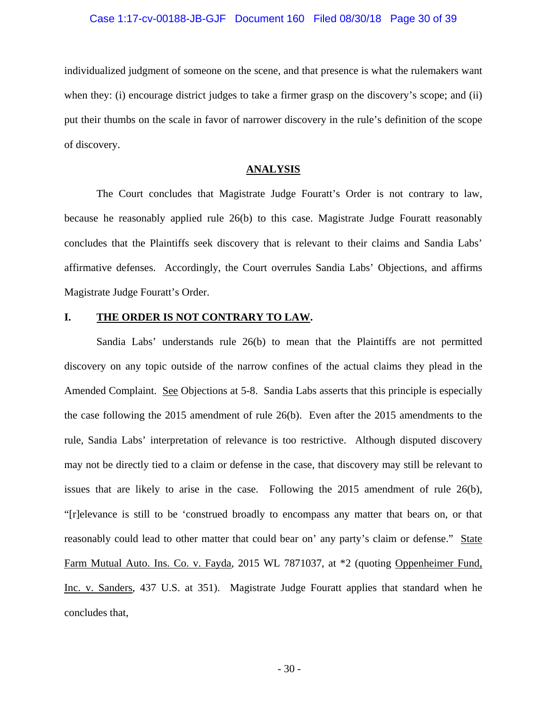individualized judgment of someone on the scene, and that presence is what the rulemakers want when they: (i) encourage district judges to take a firmer grasp on the discovery's scope; and (ii) put their thumbs on the scale in favor of narrower discovery in the rule's definition of the scope of discovery.

### **ANALYSIS**

 The Court concludes that Magistrate Judge Fouratt's Order is not contrary to law, because he reasonably applied rule 26(b) to this case. Magistrate Judge Fouratt reasonably concludes that the Plaintiffs seek discovery that is relevant to their claims and Sandia Labs' affirmative defenses. Accordingly, the Court overrules Sandia Labs' Objections, and affirms Magistrate Judge Fouratt's Order.

### **I. THE ORDER IS NOT CONTRARY TO LAW.**

 Sandia Labs' understands rule 26(b) to mean that the Plaintiffs are not permitted discovery on any topic outside of the narrow confines of the actual claims they plead in the Amended Complaint. See Objections at 5-8. Sandia Labs asserts that this principle is especially the case following the 2015 amendment of rule 26(b). Even after the 2015 amendments to the rule, Sandia Labs' interpretation of relevance is too restrictive. Although disputed discovery may not be directly tied to a claim or defense in the case, that discovery may still be relevant to issues that are likely to arise in the case. Following the 2015 amendment of rule 26(b), "[r]elevance is still to be 'construed broadly to encompass any matter that bears on, or that reasonably could lead to other matter that could bear on' any party's claim or defense." State Farm Mutual Auto. Ins. Co. v. Fayda, 2015 WL 7871037, at \*2 (quoting Oppenheimer Fund, Inc. v. Sanders, 437 U.S. at 351). Magistrate Judge Fouratt applies that standard when he concludes that,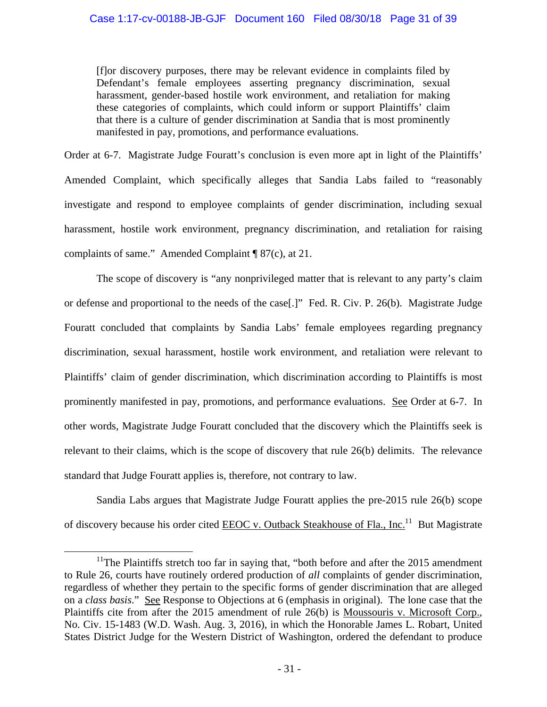[f]or discovery purposes, there may be relevant evidence in complaints filed by Defendant's female employees asserting pregnancy discrimination, sexual harassment, gender-based hostile work environment, and retaliation for making these categories of complaints, which could inform or support Plaintiffs' claim that there is a culture of gender discrimination at Sandia that is most prominently manifested in pay, promotions, and performance evaluations.

Order at 6-7. Magistrate Judge Fouratt's conclusion is even more apt in light of the Plaintiffs' Amended Complaint, which specifically alleges that Sandia Labs failed to "reasonably investigate and respond to employee complaints of gender discrimination, including sexual harassment, hostile work environment, pregnancy discrimination, and retaliation for raising complaints of same." Amended Complaint ¶ 87(c), at 21.

The scope of discovery is "any nonprivileged matter that is relevant to any party's claim or defense and proportional to the needs of the case[.]" Fed. R. Civ. P. 26(b). Magistrate Judge Fouratt concluded that complaints by Sandia Labs' female employees regarding pregnancy discrimination, sexual harassment, hostile work environment, and retaliation were relevant to Plaintiffs' claim of gender discrimination, which discrimination according to Plaintiffs is most prominently manifested in pay, promotions, and performance evaluations. See Order at 6-7. In other words, Magistrate Judge Fouratt concluded that the discovery which the Plaintiffs seek is relevant to their claims, which is the scope of discovery that rule 26(b) delimits. The relevance standard that Judge Fouratt applies is, therefore, not contrary to law.

 Sandia Labs argues that Magistrate Judge Fouratt applies the pre-2015 rule 26(b) scope of discovery because his order cited EEOC v. Outback Steakhouse of Fla., Inc.<sup>11</sup> But Magistrate

<sup>&</sup>lt;sup>11</sup>The Plaintiffs stretch too far in saying that, "both before and after the 2015 amendment to Rule 26, courts have routinely ordered production of *all* complaints of gender discrimination, regardless of whether they pertain to the specific forms of gender discrimination that are alleged on a *class basis*." See Response to Objections at 6 (emphasis in original). The lone case that the Plaintiffs cite from after the 2015 amendment of rule 26(b) is Moussouris v. Microsoft Corp., No. Civ. 15-1483 (W.D. Wash. Aug. 3, 2016), in which the Honorable James L. Robart, United States District Judge for the Western District of Washington, ordered the defendant to produce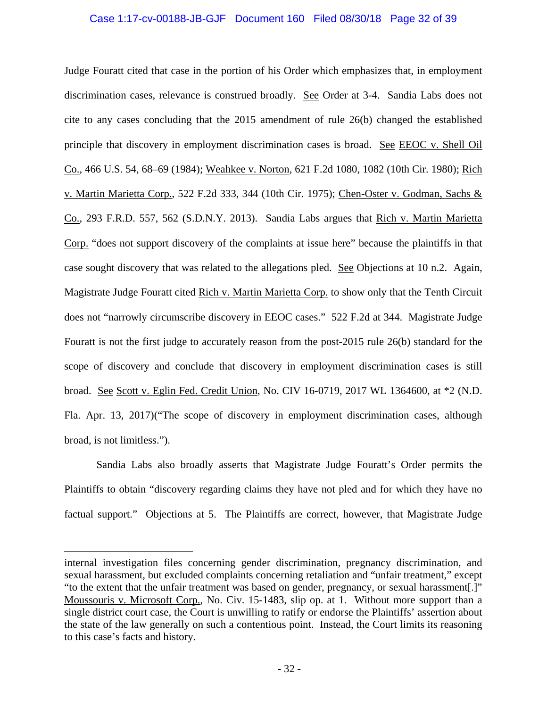### Case 1:17-cv-00188-JB-GJF Document 160 Filed 08/30/18 Page 32 of 39

Judge Fouratt cited that case in the portion of his Order which emphasizes that, in employment discrimination cases, relevance is construed broadly. See Order at 3-4. Sandia Labs does not cite to any cases concluding that the 2015 amendment of rule 26(b) changed the established principle that discovery in employment discrimination cases is broad. See EEOC v. Shell Oil Co., 466 U.S. 54, 68–69 (1984); Weahkee v. Norton, 621 F.2d 1080, 1082 (10th Cir. 1980); Rich v. Martin Marietta Corp., 522 F.2d 333, 344 (10th Cir. 1975); Chen-Oster v. Godman, Sachs & Co., 293 F.R.D. 557, 562 (S.D.N.Y. 2013). Sandia Labs argues that Rich v. Martin Marietta Corp. "does not support discovery of the complaints at issue here" because the plaintiffs in that case sought discovery that was related to the allegations pled. See Objections at 10 n.2. Again, Magistrate Judge Fouratt cited Rich v. Martin Marietta Corp. to show only that the Tenth Circuit does not "narrowly circumscribe discovery in EEOC cases." 522 F.2d at 344. Magistrate Judge Fouratt is not the first judge to accurately reason from the post-2015 rule 26(b) standard for the scope of discovery and conclude that discovery in employment discrimination cases is still broad. See Scott v. Eglin Fed. Credit Union, No. CIV 16-0719, 2017 WL 1364600, at \*2 (N.D. Fla. Apr. 13, 2017)("The scope of discovery in employment discrimination cases, although broad, is not limitless.").

Sandia Labs also broadly asserts that Magistrate Judge Fouratt's Order permits the Plaintiffs to obtain "discovery regarding claims they have not pled and for which they have no factual support." Objections at 5. The Plaintiffs are correct, however, that Magistrate Judge

 $\overline{a}$ 

internal investigation files concerning gender discrimination, pregnancy discrimination, and sexual harassment, but excluded complaints concerning retaliation and "unfair treatment," except "to the extent that the unfair treatment was based on gender, pregnancy, or sexual harassment[.]" Moussouris v. Microsoft Corp., No. Civ. 15-1483, slip op. at 1. Without more support than a single district court case, the Court is unwilling to ratify or endorse the Plaintiffs' assertion about the state of the law generally on such a contentious point. Instead, the Court limits its reasoning to this case's facts and history.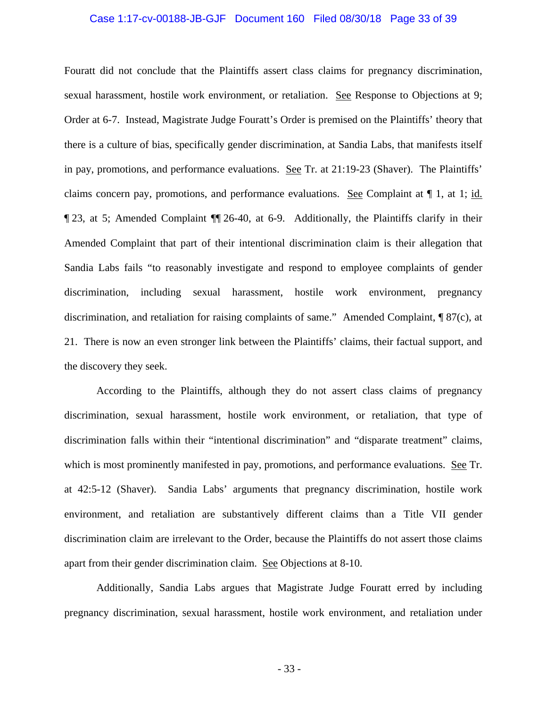#### Case 1:17-cv-00188-JB-GJF Document 160 Filed 08/30/18 Page 33 of 39

Fouratt did not conclude that the Plaintiffs assert class claims for pregnancy discrimination, sexual harassment, hostile work environment, or retaliation. See Response to Objections at 9; Order at 6-7. Instead, Magistrate Judge Fouratt's Order is premised on the Plaintiffs' theory that there is a culture of bias, specifically gender discrimination, at Sandia Labs, that manifests itself in pay, promotions, and performance evaluations. See Tr. at 21:19-23 (Shaver). The Plaintiffs' claims concern pay, promotions, and performance evaluations. See Complaint at ¶ 1, at 1; id. ¶ 23, at 5; Amended Complaint ¶¶ 26-40, at 6-9. Additionally, the Plaintiffs clarify in their Amended Complaint that part of their intentional discrimination claim is their allegation that Sandia Labs fails "to reasonably investigate and respond to employee complaints of gender discrimination, including sexual harassment, hostile work environment, pregnancy discrimination, and retaliation for raising complaints of same." Amended Complaint, ¶ 87(c), at 21. There is now an even stronger link between the Plaintiffs' claims, their factual support, and the discovery they seek.

According to the Plaintiffs, although they do not assert class claims of pregnancy discrimination, sexual harassment, hostile work environment, or retaliation, that type of discrimination falls within their "intentional discrimination" and "disparate treatment" claims, which is most prominently manifested in pay, promotions, and performance evaluations. See Tr. at 42:5-12 (Shaver). Sandia Labs' arguments that pregnancy discrimination, hostile work environment, and retaliation are substantively different claims than a Title VII gender discrimination claim are irrelevant to the Order, because the Plaintiffs do not assert those claims apart from their gender discrimination claim. See Objections at 8-10.

Additionally, Sandia Labs argues that Magistrate Judge Fouratt erred by including pregnancy discrimination, sexual harassment, hostile work environment, and retaliation under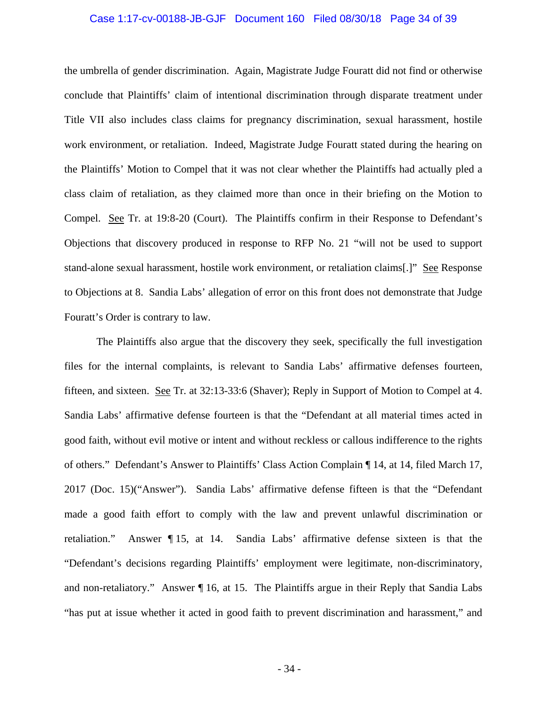#### Case 1:17-cv-00188-JB-GJF Document 160 Filed 08/30/18 Page 34 of 39

the umbrella of gender discrimination. Again, Magistrate Judge Fouratt did not find or otherwise conclude that Plaintiffs' claim of intentional discrimination through disparate treatment under Title VII also includes class claims for pregnancy discrimination, sexual harassment, hostile work environment, or retaliation. Indeed, Magistrate Judge Fouratt stated during the hearing on the Plaintiffs' Motion to Compel that it was not clear whether the Plaintiffs had actually pled a class claim of retaliation, as they claimed more than once in their briefing on the Motion to Compel. See Tr. at 19:8-20 (Court). The Plaintiffs confirm in their Response to Defendant's Objections that discovery produced in response to RFP No. 21 "will not be used to support stand-alone sexual harassment, hostile work environment, or retaliation claims[.]" See Response to Objections at 8. Sandia Labs' allegation of error on this front does not demonstrate that Judge Fouratt's Order is contrary to law.

The Plaintiffs also argue that the discovery they seek, specifically the full investigation files for the internal complaints, is relevant to Sandia Labs' affirmative defenses fourteen, fifteen, and sixteen. See Tr. at 32:13-33:6 (Shaver); Reply in Support of Motion to Compel at 4. Sandia Labs' affirmative defense fourteen is that the "Defendant at all material times acted in good faith, without evil motive or intent and without reckless or callous indifference to the rights of others." Defendant's Answer to Plaintiffs' Class Action Complain ¶ 14, at 14, filed March 17, 2017 (Doc. 15)("Answer"). Sandia Labs' affirmative defense fifteen is that the "Defendant made a good faith effort to comply with the law and prevent unlawful discrimination or retaliation." Answer ¶ 15, at 14. Sandia Labs' affirmative defense sixteen is that the "Defendant's decisions regarding Plaintiffs' employment were legitimate, non-discriminatory, and non-retaliatory." Answer ¶ 16, at 15. The Plaintiffs argue in their Reply that Sandia Labs "has put at issue whether it acted in good faith to prevent discrimination and harassment," and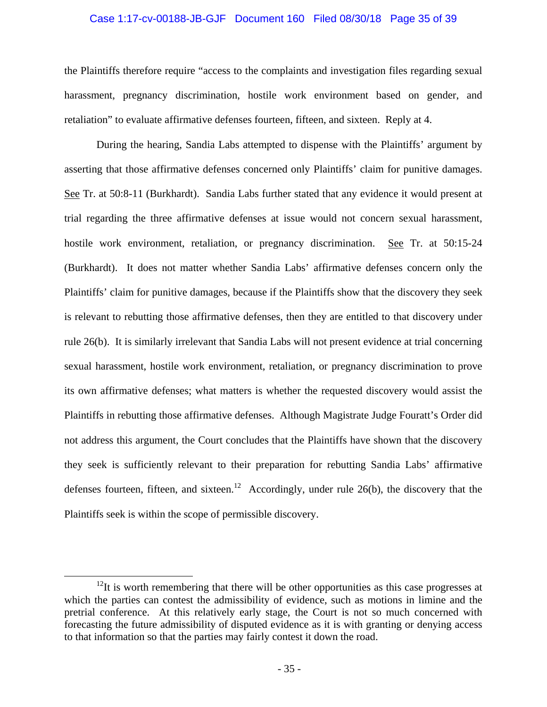#### Case 1:17-cv-00188-JB-GJF Document 160 Filed 08/30/18 Page 35 of 39

the Plaintiffs therefore require "access to the complaints and investigation files regarding sexual harassment, pregnancy discrimination, hostile work environment based on gender, and retaliation" to evaluate affirmative defenses fourteen, fifteen, and sixteen. Reply at 4.

During the hearing, Sandia Labs attempted to dispense with the Plaintiffs' argument by asserting that those affirmative defenses concerned only Plaintiffs' claim for punitive damages. See Tr. at 50:8-11 (Burkhardt). Sandia Labs further stated that any evidence it would present at trial regarding the three affirmative defenses at issue would not concern sexual harassment, hostile work environment, retaliation, or pregnancy discrimination. See Tr. at 50:15-24 (Burkhardt). It does not matter whether Sandia Labs' affirmative defenses concern only the Plaintiffs' claim for punitive damages, because if the Plaintiffs show that the discovery they seek is relevant to rebutting those affirmative defenses, then they are entitled to that discovery under rule 26(b). It is similarly irrelevant that Sandia Labs will not present evidence at trial concerning sexual harassment, hostile work environment, retaliation, or pregnancy discrimination to prove its own affirmative defenses; what matters is whether the requested discovery would assist the Plaintiffs in rebutting those affirmative defenses. Although Magistrate Judge Fouratt's Order did not address this argument, the Court concludes that the Plaintiffs have shown that the discovery they seek is sufficiently relevant to their preparation for rebutting Sandia Labs' affirmative defenses fourteen, fifteen, and sixteen.<sup>12</sup> Accordingly, under rule 26(b), the discovery that the Plaintiffs seek is within the scope of permissible discovery.

 $12$ It is worth remembering that there will be other opportunities as this case progresses at which the parties can contest the admissibility of evidence, such as motions in limine and the pretrial conference. At this relatively early stage, the Court is not so much concerned with forecasting the future admissibility of disputed evidence as it is with granting or denying access to that information so that the parties may fairly contest it down the road.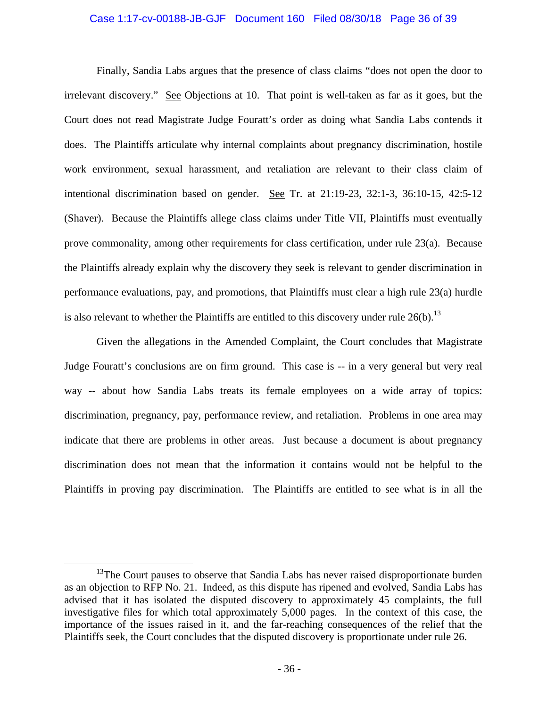#### Case 1:17-cv-00188-JB-GJF Document 160 Filed 08/30/18 Page 36 of 39

Finally, Sandia Labs argues that the presence of class claims "does not open the door to irrelevant discovery." See Objections at 10. That point is well-taken as far as it goes, but the Court does not read Magistrate Judge Fouratt's order as doing what Sandia Labs contends it does. The Plaintiffs articulate why internal complaints about pregnancy discrimination, hostile work environment, sexual harassment, and retaliation are relevant to their class claim of intentional discrimination based on gender. See Tr. at 21:19-23, 32:1-3, 36:10-15, 42:5-12 (Shaver). Because the Plaintiffs allege class claims under Title VII, Plaintiffs must eventually prove commonality, among other requirements for class certification, under rule 23(a). Because the Plaintiffs already explain why the discovery they seek is relevant to gender discrimination in performance evaluations, pay, and promotions, that Plaintiffs must clear a high rule 23(a) hurdle is also relevant to whether the Plaintiffs are entitled to this discovery under rule  $26(b)$ .<sup>13</sup>

Given the allegations in the Amended Complaint, the Court concludes that Magistrate Judge Fouratt's conclusions are on firm ground. This case is -- in a very general but very real way -- about how Sandia Labs treats its female employees on a wide array of topics: discrimination, pregnancy, pay, performance review, and retaliation. Problems in one area may indicate that there are problems in other areas. Just because a document is about pregnancy discrimination does not mean that the information it contains would not be helpful to the Plaintiffs in proving pay discrimination. The Plaintiffs are entitled to see what is in all the

 $13$ The Court pauses to observe that Sandia Labs has never raised disproportionate burden as an objection to RFP No. 21. Indeed, as this dispute has ripened and evolved, Sandia Labs has advised that it has isolated the disputed discovery to approximately 45 complaints, the full investigative files for which total approximately 5,000 pages. In the context of this case, the importance of the issues raised in it, and the far-reaching consequences of the relief that the Plaintiffs seek, the Court concludes that the disputed discovery is proportionate under rule 26.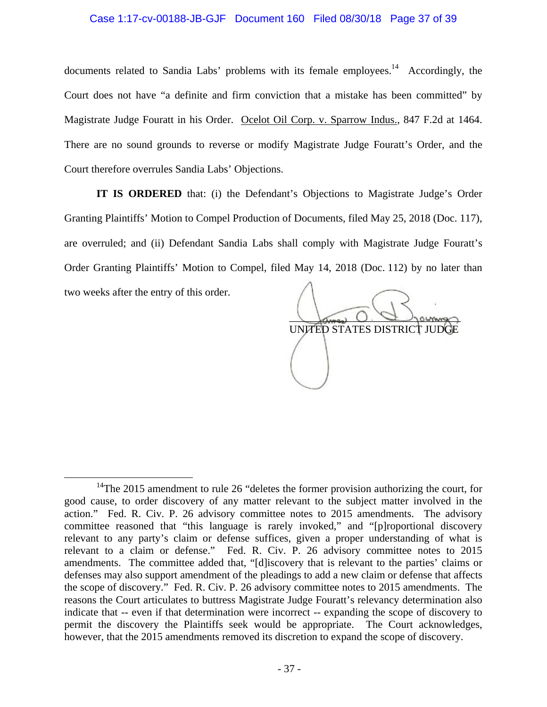# Case 1:17-cv-00188-JB-GJF Document 160 Filed 08/30/18 Page 37 of 39

documents related to Sandia Labs' problems with its female employees.<sup>14</sup> Accordingly, the Court does not have "a definite and firm conviction that a mistake has been committed" by Magistrate Judge Fouratt in his Order. Ocelot Oil Corp. v. Sparrow Indus., 847 F.2d at 1464. There are no sound grounds to reverse or modify Magistrate Judge Fouratt's Order, and the Court therefore overrules Sandia Labs' Objections.

**IT IS ORDERED** that: (i) the Defendant's Objections to Magistrate Judge's Order Granting Plaintiffs' Motion to Compel Production of Documents, filed May 25, 2018 (Doc. 117), are overruled; and (ii) Defendant Sandia Labs shall comply with Magistrate Judge Fouratt's Order Granting Plaintiffs' Motion to Compel, filed May 14, 2018 (Doc. 112) by no later than two weeks after the entry of this order.

 $\bigcup_{\text{new}} O. \bigotimes_{\text{new}} O$ UNITED STATES DISTRICT JUDGE

<sup>&</sup>lt;sup>14</sup>The 2015 amendment to rule 26 "deletes the former provision authorizing the court, for good cause, to order discovery of any matter relevant to the subject matter involved in the action." Fed. R. Civ. P. 26 advisory committee notes to 2015 amendments. The advisory committee reasoned that "this language is rarely invoked," and "[p]roportional discovery relevant to any party's claim or defense suffices, given a proper understanding of what is relevant to a claim or defense." Fed. R. Civ. P. 26 advisory committee notes to 2015 amendments. The committee added that, "[d]iscovery that is relevant to the parties' claims or defenses may also support amendment of the pleadings to add a new claim or defense that affects the scope of discovery." Fed. R. Civ. P. 26 advisory committee notes to 2015 amendments. The reasons the Court articulates to buttress Magistrate Judge Fouratt's relevancy determination also indicate that -- even if that determination were incorrect -- expanding the scope of discovery to permit the discovery the Plaintiffs seek would be appropriate. The Court acknowledges, however, that the 2015 amendments removed its discretion to expand the scope of discovery.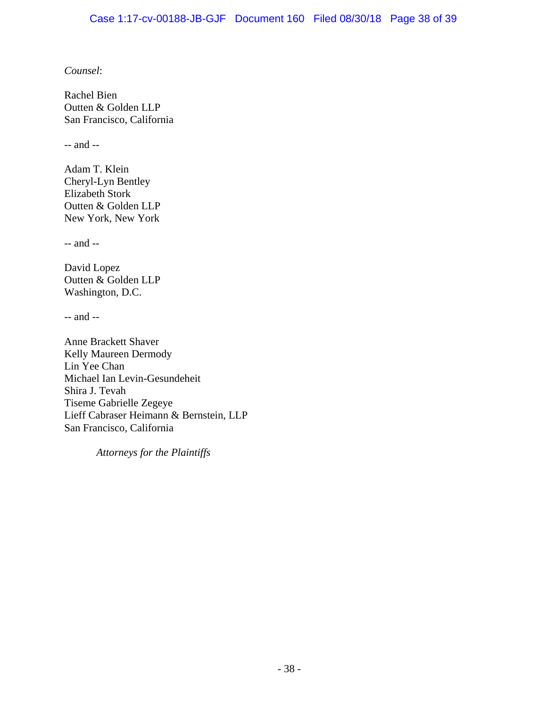# Case 1:17-cv-00188-JB-GJF Document 160 Filed 08/30/18 Page 38 of 39

# *Counsel*:

Rachel Bien Outten & Golden LLP San Francisco, California

-- and --

Adam T. Klein Cheryl-Lyn Bentley Elizabeth Stork Outten & Golden LLP New York, New York

-- and --

David Lopez Outten & Golden LLP Washington, D.C.

-- and --

Anne Brackett Shaver Kelly Maureen Dermody Lin Yee Chan Michael Ian Levin-Gesundeheit Shira J. Tevah Tiseme Gabrielle Zegeye Lieff Cabraser Heimann & Bernstein, LLP San Francisco, California

*Attorneys for the Plaintiffs*